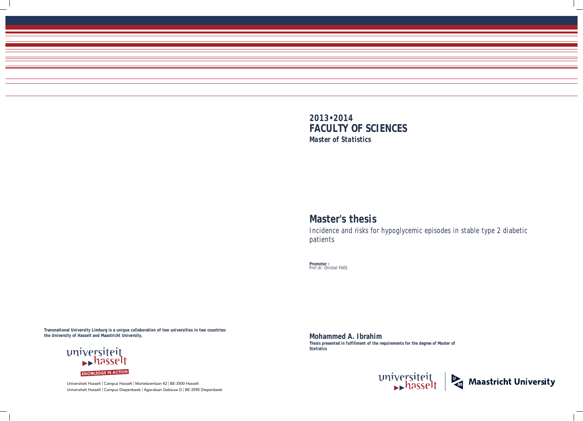Universiteit Hasselt | Campus Hasselt | Martelarenlaan 42 | BE-3500 Hasselt Universiteit Hasselt | Campus Diepenbeek | Agoralaan Gebouw D | BE-3590 Diepenbeek



# **Master's thesis**

Incidence and risks for hypoglycemic episodes in stable type 2 diabetic patients

**Promotor :** Prof.dr. Christel FAES

**Mohammed A. Ibrahim**  *Thesis presented in fulfillment of the requirements for the degree of Master of Statistics*





**Transnational University Limburg is a unique collaboration of two universities in two countries: the University of Hasselt and Maastricht University.**

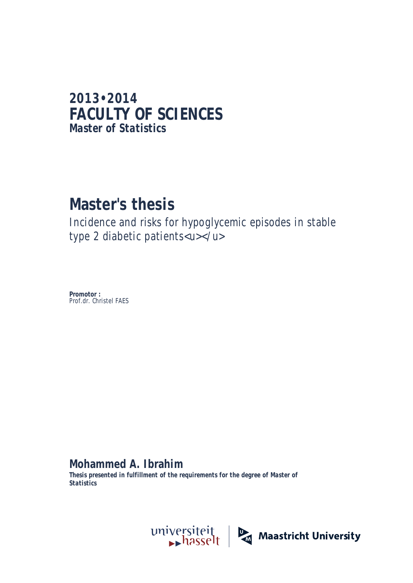# **2013•2014 FACULTY OF SCIENCES** *Master of Statistics*

# **Master's thesis**

Incidence and risks for hypoglycemic episodes in stable type 2 diabetic patients<u></u>

**Promotor :** Prof.dr. Christel FAES

**Mohammed A. Ibrahim** 

*Thesis presented in fulfillment of the requirements for the degree of Master of Statistics*

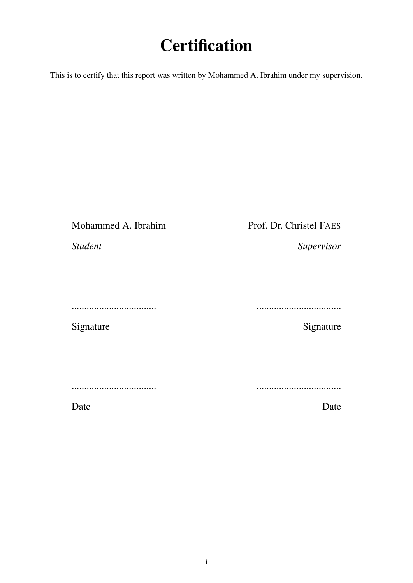# **Certification**

This is to certify that this report was written by Mohammed A. Ibrahim under my supervision.

Mohammed A. Ibrahim

# Prof. Dr. Christel FAES

*Student*

..................................

Signature

..................................

Signature

*Supervisor*

..................................

..................................

Date

Date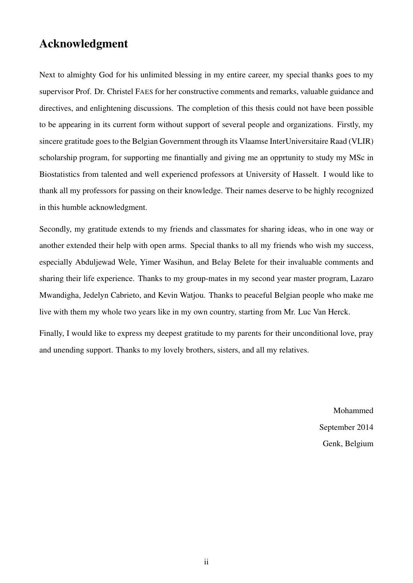# Acknowledgment

Next to almighty God for his unlimited blessing in my entire career, my special thanks goes to my supervisor Prof. Dr. Christel FAES for her constructive comments and remarks, valuable guidance and directives, and enlightening discussions. The completion of this thesis could not have been possible to be appearing in its current form without support of several people and organizations. Firstly, my sincere gratitude goes to the Belgian Government through its Vlaamse InterUniversitaire Raad (VLIR) scholarship program, for supporting me finantially and giving me an opprtunity to study my MSc in Biostatistics from talented and well experiencd professors at University of Hasselt. I would like to thank all my professors for passing on their knowledge. Their names deserve to be highly recognized in this humble acknowledgment.

Secondly, my gratitude extends to my friends and classmates for sharing ideas, who in one way or another extended their help with open arms. Special thanks to all my friends who wish my success, especially Abduljewad Wele, Yimer Wasihun, and Belay Belete for their invaluable comments and sharing their life experience. Thanks to my group-mates in my second year master program, Lazaro Mwandigha, Jedelyn Cabrieto, and Kevin Watjou. Thanks to peaceful Belgian people who make me live with them my whole two years like in my own country, starting from Mr. Luc Van Herck.

Finally, I would like to express my deepest gratitude to my parents for their unconditional love, pray and unending support. Thanks to my lovely brothers, sisters, and all my relatives.

> Mohammed September 2014 Genk, Belgium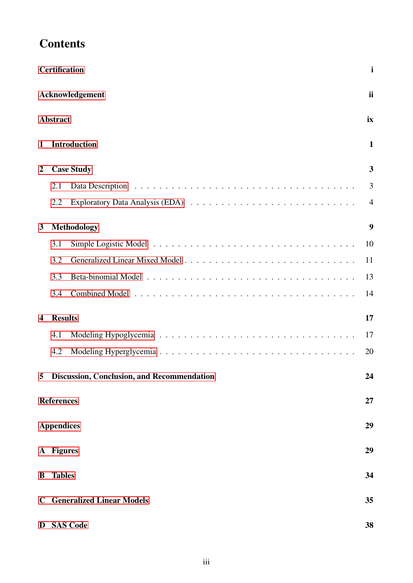|                         | <b>Certification</b> |                                            | i              |
|-------------------------|----------------------|--------------------------------------------|----------------|
|                         |                      | Acknowledgement                            | <i>ii</i>      |
|                         | <b>Abstract</b>      |                                            | ix             |
| 1                       |                      | <b>Introduction</b>                        | $\mathbf{1}$   |
| $\overline{2}$          |                      | <b>Case Study</b>                          | 3              |
|                         | 2.1                  |                                            | 3              |
|                         | 2.2                  |                                            | $\overline{4}$ |
| $\mathbf{3}$            |                      | Methodology                                | 9              |
|                         | 3.1                  |                                            | 10             |
|                         | 3.2                  |                                            | 11             |
|                         | 3.3                  |                                            | 13             |
|                         | 3.4                  |                                            | 14             |
| $\overline{\mathbf{4}}$ | <b>Results</b>       |                                            | 17             |
|                         | 4.1                  |                                            | 17             |
|                         | 4.2                  |                                            | 20             |
| 5                       |                      | Discussion, Conclusion, and Recommendation | 24             |
|                         | <b>References</b>    |                                            | 27             |
|                         | <b>Appendices</b>    |                                            | 29             |
|                         | A Figures            |                                            | 29             |
| B                       | <b>Tables</b>        |                                            | 34             |
|                         |                      | <b>C</b> Generalized Linear Models         | 35             |
|                         |                      | D SAS Code                                 | 38             |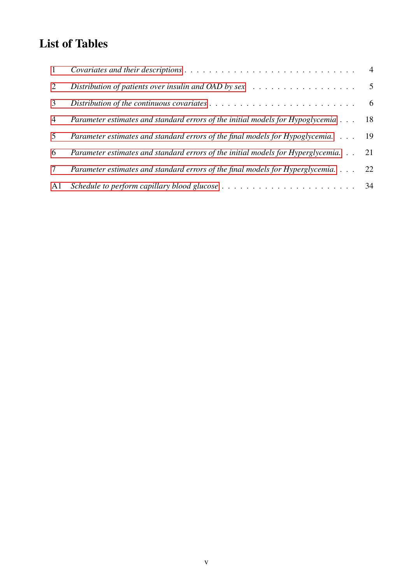# List of Tables

| $\mathbf{1}$    |                                                                                                  |  |
|-----------------|--------------------------------------------------------------------------------------------------|--|
| 2               | Distribution of patients over insulin and OAD by sex $\ldots \ldots \ldots \ldots \ldots \ldots$ |  |
| 3               |                                                                                                  |  |
| $\overline{4}$  | Parameter estimates and standard errors of the initial models for Hypoglycemia 18                |  |
| 5               | Parameter estimates and standard errors of the final models for Hypoglycemia. 19                 |  |
| 6               | Parameter estimates and standard errors of the initial models for Hyperglycemia. 21              |  |
| $7\phantom{.0}$ | Parameter estimates and standard errors of the final models for Hyperglycemia. 22                |  |
| A1              |                                                                                                  |  |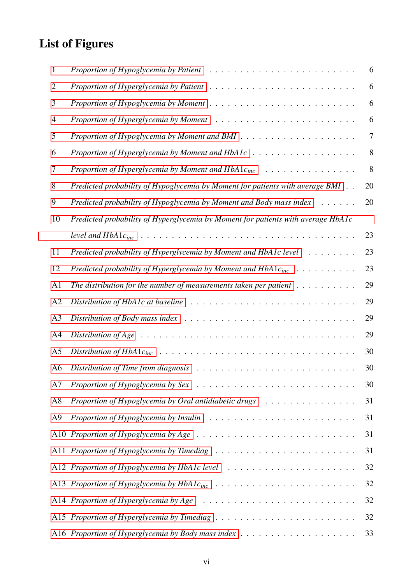# List of Figures

| 1              | Proportion of Hypoglycemia by Patient $\ldots \ldots \ldots \ldots \ldots \ldots \ldots \ldots$                | 6  |
|----------------|----------------------------------------------------------------------------------------------------------------|----|
| $\overline{2}$ |                                                                                                                | 6  |
| 3              | Proportion of Hypoglycemia by Moment $\ldots \ldots \ldots \ldots \ldots \ldots \ldots \ldots \ldots$          | 6  |
| 4              |                                                                                                                | 6  |
| 5              |                                                                                                                | 7  |
| 6              |                                                                                                                | 8  |
| 7              |                                                                                                                | 8  |
| 8              | Predicted probability of Hypoglycemia by Moment for patients with average BMI                                  | 20 |
| 9              | Predicted probability of Hypoglycemia by Moment and Body mass index<br>$\mathbf{r}$                            | 20 |
| 10             | Predicted probability of Hyperglycemia by Moment for patients with average HbA1c                               |    |
|                |                                                                                                                | 23 |
| 11             | Predicted probability of Hyperglycemia by Moment and HbA1c level                                               | 23 |
| 12             | Predicted probability of Hyperglycemia by Moment and $HbA1c_{inc} \dots \dots \dots$                           | 23 |
| A <sub>1</sub> | The distribution for the number of measurements taken per patient $\dots \dots \dots$                          | 29 |
| A <sub>2</sub> |                                                                                                                | 29 |
| A <sub>3</sub> | Distribution of Body mass index $\ldots \ldots \ldots \ldots \ldots \ldots \ldots \ldots \ldots \ldots$        | 29 |
| A <sub>4</sub> | Distribution of Age $\ldots \ldots \ldots \ldots \ldots \ldots \ldots \ldots \ldots \ldots \ldots \ldots$      | 29 |
| A <sub>5</sub> |                                                                                                                | 30 |
| A <sub>6</sub> |                                                                                                                | 30 |
| A7             |                                                                                                                | 30 |
| A8             | Proportion of Hypoglycemia by Oral antidiabetic drugs                                                          | 31 |
| A <sub>9</sub> |                                                                                                                | 31 |
|                | A10 <i>Proportion of Hypoglycemia by Age</i> $\ldots \ldots \ldots \ldots \ldots \ldots \ldots \ldots \ldots$  | 31 |
|                |                                                                                                                | 31 |
|                |                                                                                                                | 32 |
|                |                                                                                                                | 32 |
|                | A14 Proportion of Hyperglycemia by Age $\ldots \ldots \ldots \ldots \ldots \ldots \ldots \ldots \ldots \ldots$ | 32 |
|                |                                                                                                                | 32 |
|                |                                                                                                                | 33 |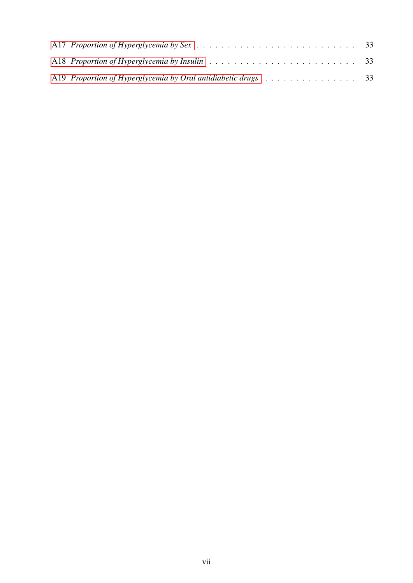| A18 Proportion of Hyperglycemia by Insulin $\ldots \ldots \ldots \ldots \ldots \ldots \ldots \ldots \ldots$ 33 |  |  |  |  |  |  |  |
|----------------------------------------------------------------------------------------------------------------|--|--|--|--|--|--|--|
| A19 Proportion of Hyperglycemia by Oral antidiabetic drugs $\ldots \ldots \ldots \ldots \ldots$ 33             |  |  |  |  |  |  |  |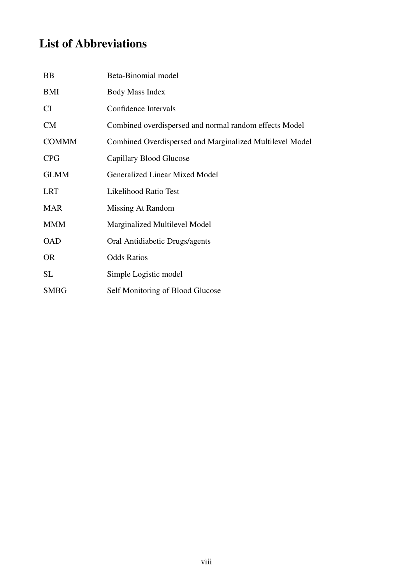# List of Abbreviations

| BB           | Beta-Binomial model                                      |
|--------------|----------------------------------------------------------|
| BMI          | Body Mass Index                                          |
| <b>CI</b>    | Confidence Intervals                                     |
| CM           | Combined overdispersed and normal random effects Model   |
| <b>COMMM</b> | Combined Overdispersed and Marginalized Multilevel Model |
| <b>CPG</b>   | Capillary Blood Glucose                                  |
| <b>GLMM</b>  | <b>Generalized Linear Mixed Model</b>                    |
| <b>LRT</b>   | <b>Likelihood Ratio Test</b>                             |
| <b>MAR</b>   | Missing At Random                                        |
| <b>MMM</b>   | Marginalized Multilevel Model                            |
| <b>OAD</b>   | Oral Antidiabetic Drugs/agents                           |
| <b>OR</b>    | <b>Odds Ratios</b>                                       |
| SL           | Simple Logistic model                                    |
| <b>SMBG</b>  | Self Monitoring of Blood Glucose                         |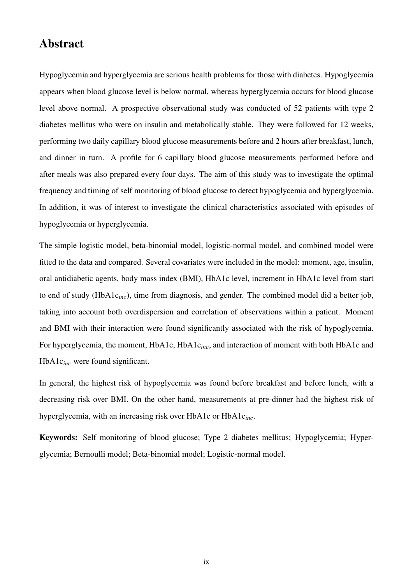### Abstract

Hypoglycemia and hyperglycemia are serious health problems for those with diabetes. Hypoglycemia appears when blood glucose level is below normal, whereas hyperglycemia occurs for blood glucose level above normal. A prospective observational study was conducted of 52 patients with type 2 diabetes mellitus who were on insulin and metabolically stable. They were followed for 12 weeks, performing two daily capillary blood glucose measurements before and 2 hours after breakfast, lunch, and dinner in turn. A profile for 6 capillary blood glucose measurements performed before and after meals was also prepared every four days. The aim of this study was to investigate the optimal frequency and timing of self monitoring of blood glucose to detect hypoglycemia and hyperglycemia. In addition, it was of interest to investigate the clinical characteristics associated with episodes of hypoglycemia or hyperglycemia.

The simple logistic model, beta-binomial model, logistic-normal model, and combined model were fitted to the data and compared. Several covariates were included in the model: moment, age, insulin, oral antidiabetic agents, body mass index (BMI), HbA1c level, increment in HbA1c level from start to end of study (HbA1c*inc*), time from diagnosis, and gender. The combined model did a better job, taking into account both overdispersion and correlation of observations within a patient. Moment and BMI with their interaction were found significantly associated with the risk of hypoglycemia. For hyperglycemia, the moment, HbA1c, HbA1c*inc*, and interaction of moment with both HbA1c and HbA1c*inc* were found significant.

In general, the highest risk of hypoglycemia was found before breakfast and before lunch, with a decreasing risk over BMI. On the other hand, measurements at pre-dinner had the highest risk of hyperglycemia, with an increasing risk over HbA1c or HbA1c*inc*.

Keywords: Self monitoring of blood glucose; Type 2 diabetes mellitus; Hypoglycemia; Hyperglycemia; Bernoulli model; Beta-binomial model; Logistic-normal model.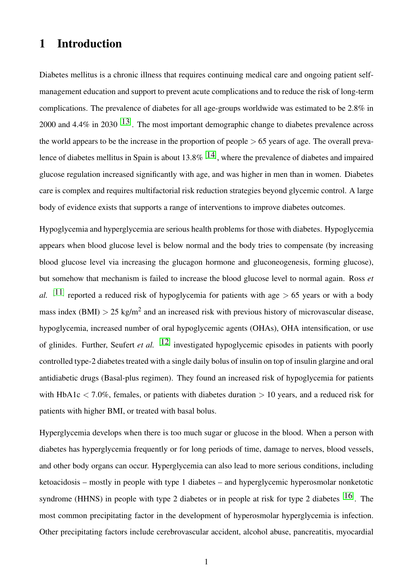# 1 Introduction

Diabetes mellitus is a chronic illness that requires continuing medical care and ongoing patient selfmanagement education and support to prevent acute complications and to reduce the risk of long-term complications. The prevalence of diabetes for all age-groups worldwide was estimated to be 2.8% in 2000 and 4.4% in 2030  $^{[13]}$ . The most important demographic change to diabetes prevalence across the world appears to be the increase in the proportion of people  $> 65$  years of age. The overall prevalence of diabetes mellitus in Spain is about 13.8%  $[14]$ , where the prevalence of diabetes and impaired glucose regulation increased significantly with age, and was higher in men than in women. Diabetes care is complex and requires multifactorial risk reduction strategies beyond glycemic control. A large body of evidence exists that supports a range of interventions to improve diabetes outcomes.

Hypoglycemia and hyperglycemia are serious health problems for those with diabetes. Hypoglycemia appears when blood glucose level is below normal and the body tries to compensate (by increasing blood glucose level via increasing the glucagon hormone and gluconeogenesis, forming glucose), but somehow that mechanism is failed to increase the blood glucose level to normal again. Ross *et al.* <sup>[11]</sup> reported a reduced risk of hypoglycemia for patients with age  $> 65$  years or with a body mass index (BMI)  $> 25$  kg/m<sup>2</sup> and an increased risk with previous history of microvascular disease, hypoglycemia, increased number of oral hypoglycemic agents (OHAs), OHA intensification, or use of glinides. Further, Seufert *et al.* [12] investigated hypoglycemic episodes in patients with poorly controlled type-2 diabetes treated with a single daily bolus of insulin on top of insulin glargine and oral antidiabetic drugs (Basal-plus regimen). They found an increased risk of hypoglycemia for patients with HbA1c  $\langle 7.0\%$ , females, or patients with diabetes duration  $> 10$  years, and a reduced risk for patients with higher BMI, or treated with basal bolus.

Hyperglycemia develops when there is too much sugar or glucose in the blood. When a person with diabetes has hyperglycemia frequently or for long periods of time, damage to nerves, blood vessels, and other body organs can occur. Hyperglycemia can also lead to more serious conditions, including ketoacidosis – mostly in people with type 1 diabetes – and hyperglycemic hyperosmolar nonketotic syndrome (HHNS) in people with type 2 diabetes or in people at risk for type 2 diabetes  $^{[16]}$ . The most common precipitating factor in the development of hyperosmolar hyperglycemia is infection. Other precipitating factors include cerebrovascular accident, alcohol abuse, pancreatitis, myocardial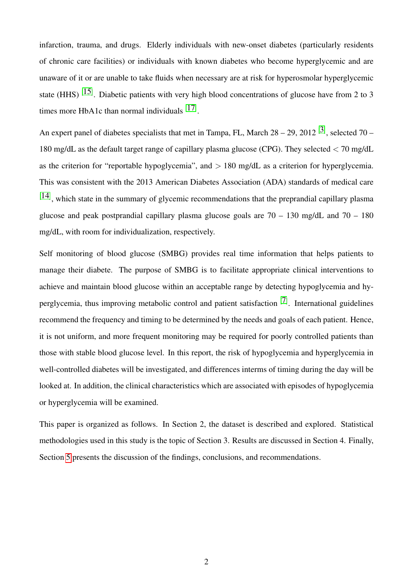infarction, trauma, and drugs. Elderly individuals with new-onset diabetes (particularly residents of chronic care facilities) or individuals with known diabetes who become hyperglycemic and are unaware of it or are unable to take fluids when necessary are at risk for hyperosmolar hyperglycemic state (HHS)  $[15]$ . Diabetic patients with very high blood concentrations of glucose have from 2 to 3 times more HbA1c than normal individuals  $[17]$ .

An expert panel of diabetes specialists that met in Tampa, FL, March  $28 - 29$ ,  $2012$  [3], selected 70 – 180 mg/dL as the default target range of capillary plasma glucose (CPG). They selected < 70 mg/dL as the criterion for "reportable hypoglycemia", and  $> 180$  mg/dL as a criterion for hyperglycemia. This was consistent with the 2013 American Diabetes Association (ADA) standards of medical care  $[14]$ , which state in the summary of glycemic recommendations that the preprandial capillary plasma glucose and peak postprandial capillary plasma glucose goals are  $70 - 130$  mg/dL and  $70 - 180$ mg/dL, with room for individualization, respectively.

Self monitoring of blood glucose (SMBG) provides real time information that helps patients to manage their diabete. The purpose of SMBG is to facilitate appropriate clinical interventions to achieve and maintain blood glucose within an acceptable range by detecting hypoglycemia and hyperglycemia, thus improving metabolic control and patient satisfaction [7]. International guidelines recommend the frequency and timing to be determined by the needs and goals of each patient. Hence, it is not uniform, and more frequent monitoring may be required for poorly controlled patients than those with stable blood glucose level. In this report, the risk of hypoglycemia and hyperglycemia in well-controlled diabetes will be investigated, and differences interms of timing during the day will be looked at. In addition, the clinical characteristics which are associated with episodes of hypoglycemia or hyperglycemia will be examined.

This paper is organized as follows. In Section 2, the dataset is described and explored. Statistical methodologies used in this study is the topic of Section 3. Results are discussed in Section 4. Finally, Section 5 presents the discussion of the findings, conclusions, and recommendations.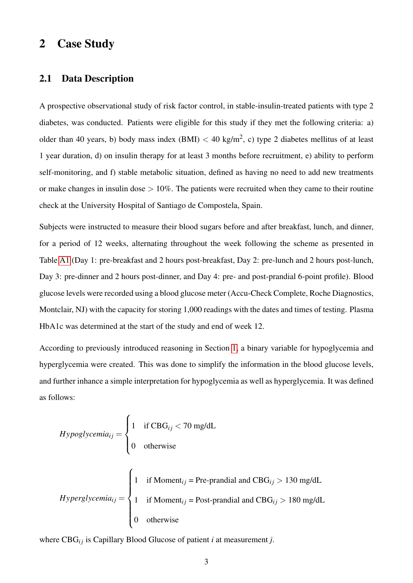# 2 Case Study

#### 2.1 Data Description

A prospective observational study of risk factor control, in stable-insulin-treated patients with type 2 diabetes, was conducted. Patients were eligible for this study if they met the following criteria: a) older than 40 years, b) body mass index (BMI)  $<$  40 kg/m<sup>2</sup>, c) type 2 diabetes mellitus of at least 1 year duration, d) on insulin therapy for at least 3 months before recruitment, e) ability to perform self-monitoring, and f) stable metabolic situation, defined as having no need to add new treatments or make changes in insulin dose  $> 10\%$ . The patients were recruited when they came to their routine check at the University Hospital of Santiago de Compostela, Spain.

Subjects were instructed to measure their blood sugars before and after breakfast, lunch, and dinner, for a period of 12 weeks, alternating throughout the week following the scheme as presented in Table A1 (Day 1: pre-breakfast and 2 hours post-breakfast, Day 2: pre-lunch and 2 hours post-lunch, Day 3: pre-dinner and 2 hours post-dinner, and Day 4: pre- and post-prandial 6-point profile). Blood glucose levels were recorded using a blood glucose meter (Accu-Check Complete, Roche Diagnostics, Montclair, NJ) with the capacity for storing 1,000 readings with the dates and times of testing. Plasma HbA1c was determined at the start of the study and end of week 12.

According to previously introduced reasoning in Section 1, a binary variable for hypoglycemia and hyperglycemia were created. This was done to simplify the information in the blood glucose levels, and further inhance a simple interpretation for hypoglycemia as well as hyperglycemia. It was defined as follows:

*Hypoglycemia<sub>ij</sub>* = 
$$
\begin{cases} 1 & \text{if CBGij < 70 mg/dL} \\ 0 & \text{otherwise} \end{cases}
$$
  
\n*Hyperglycemia<sub>ij</sub>* = 
$$
\begin{cases} 1 & \text{if Momentij = Pre-prandial and CBGij > 130 mg/dL} \\ 1 & \text{if Momentij = Post-prandial and CBGij > 180 mg/dL} \\ 0 & \text{otherwise} \end{cases}
$$

where CBG*i j* is Capillary Blood Glucose of patient *i* at measurement *j*.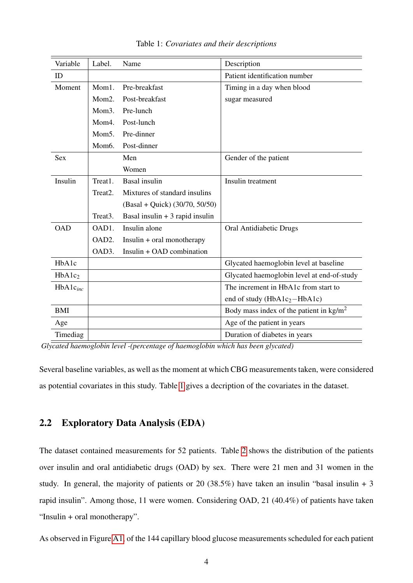| Variable           | Label.               | Name                             | Description                                       |
|--------------------|----------------------|----------------------------------|---------------------------------------------------|
| ID                 |                      |                                  | Patient identification number                     |
| Moment             | Mom1.                | Pre-breakfast                    | Timing in a day when blood                        |
|                    | Mom2.                | Post-breakfast                   | sugar measured                                    |
|                    | Mom <sub>3</sub> .   | Pre-lunch                        |                                                   |
|                    | Mom4.                | Post-lunch                       |                                                   |
|                    | Mom <sub>5</sub> .   | Pre-dinner                       |                                                   |
|                    | Mom <sub>6</sub> .   | Post-dinner                      |                                                   |
| <b>Sex</b>         |                      | Men                              | Gender of the patient                             |
|                    |                      | Women                            |                                                   |
| Insulin            | Treat1.              | <b>Basal</b> insulin             | Insulin treatment                                 |
|                    | Treat <sub>2</sub> . | Mixtures of standard insulins    |                                                   |
|                    |                      | $(Basal + Quick)$ (30/70, 50/50) |                                                   |
|                    | Treat3.              | Basal insulin $+3$ rapid insulin |                                                   |
| <b>OAD</b>         | OAD1.                | Insulin alone                    | Oral Antidiabetic Drugs                           |
|                    | OAD2.                | $Insulin + oral monotherapy$     |                                                   |
|                    | OAD3.                | Insulin + OAD combination        |                                                   |
| HbA1c              |                      |                                  | Glycated haemoglobin level at baseline            |
| HbA1c <sub>2</sub> |                      |                                  | Glycated haemoglobin level at end-of-study        |
| $HbA1c_{inc}$      |                      |                                  | The increment in HbA1c from start to              |
|                    |                      |                                  | end of study ( $HbA1c_2-HbA1c$ )                  |
| <b>BMI</b>         |                      |                                  | Body mass index of the patient in $\text{kg/m}^2$ |
| Age                |                      |                                  | Age of the patient in years                       |
| Timediag           |                      |                                  | Duration of diabetes in years                     |

Table 1: *Covariates and their descriptions*

*Glycated haemoglobin level -(percentage of haemoglobin which has been glycated)*

Several baseline variables, as well as the moment at which CBG measurements taken, were considered as potential covariates in this study. Table 1 gives a decription of the covariates in the dataset.

### 2.2 Exploratory Data Analysis (EDA)

The dataset contained measurements for 52 patients. Table 2 shows the distribution of the patients over insulin and oral antidiabetic drugs (OAD) by sex. There were 21 men and 31 women in the study. In general, the majority of patients or 20 (38.5%) have taken an insulin "basal insulin + 3 rapid insulin". Among those, 11 were women. Considering OAD, 21 (40.4%) of patients have taken "Insulin + oral monotherapy".

As observed in Figure A1, of the 144 capillary blood glucose measurements scheduled for each patient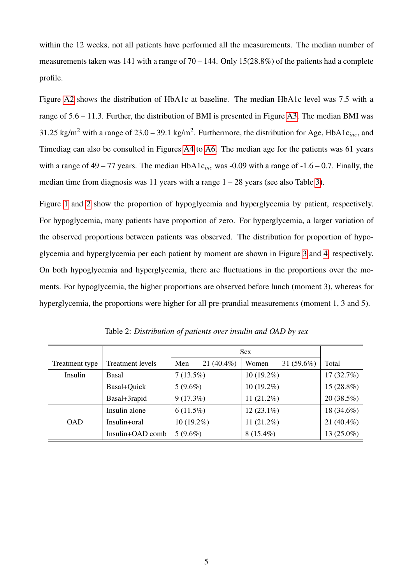within the 12 weeks, not all patients have performed all the measurements. The median number of measurements taken was 141 with a range of  $70 - 144$ . Only 15(28.8%) of the patients had a complete profile.

Figure A2 shows the distribution of HbA1c at baseline. The median HbA1c level was 7.5 with a range of 5.6 – 11.3. Further, the distribution of BMI is presented in Figure A3. The median BMI was 31.25 kg/m<sup>2</sup> with a range of  $23.0 - 39.1$  kg/m<sup>2</sup>. Furthermore, the distribution for Age, HbA1 $c_{inc}$ , and Timediag can also be consulted in Figures A4 to A6. The median age for the patients was 61 years with a range of 49 – 77 years. The median HbA1c*inc* was -0.09 with a range of -1.6 – 0.7. Finally, the median time from diagnosis was 11 years with a range  $1 - 28$  years (see also Table 3).

Figure 1 and 2 show the proportion of hypoglycemia and hyperglycemia by patient, respectively. For hypoglycemia, many patients have proportion of zero. For hyperglycemia, a larger variation of the observed proportions between patients was observed. The distribution for proportion of hypoglycemia and hyperglycemia per each patient by moment are shown in Figure 3 and 4, respectively. On both hypoglycemia and hyperglycemia, there are fluctuations in the proportions over the moments. For hypoglycemia, the higher proportions are observed before lunch (moment 3), whereas for hyperglycemia, the proportions were higher for all pre-prandial measurements (moment 1, 3 and 5).

|                |                         |                      | <b>Sex</b>             |               |  |  |  |  |  |
|----------------|-------------------------|----------------------|------------------------|---------------|--|--|--|--|--|
| Treatment type | <b>Treatment levels</b> | 21 $(40.4\%)$<br>Men | 31 $(59.6\%)$<br>Women | Total         |  |  |  |  |  |
| Insulin        | Basal                   | $7(13.5\%)$          | $10(19.2\%)$           | 17(32.7%)     |  |  |  |  |  |
|                | Basal+Quick             | $5(9.6\%)$           | $10(19.2\%)$           | $15(28.8\%)$  |  |  |  |  |  |
|                | Basal+3rapid            | $9(17.3\%)$          | $11(21.2\%)$           | $20(38.5\%)$  |  |  |  |  |  |
|                | Insulin alone           | $6(11.5\%)$          | $12(23.1\%)$           | 18 (34.6%)    |  |  |  |  |  |
| <b>OAD</b>     | Insulin+oral            | $10(19.2\%)$         | 11 $(21.2\%)$          | 21 $(40.4\%)$ |  |  |  |  |  |
|                | Insulin+OAD comb        | $5(9.6\%)$           | $8(15.4\%)$            | 13 (25.0%)    |  |  |  |  |  |

Table 2: *Distribution of patients over insulin and OAD by sex*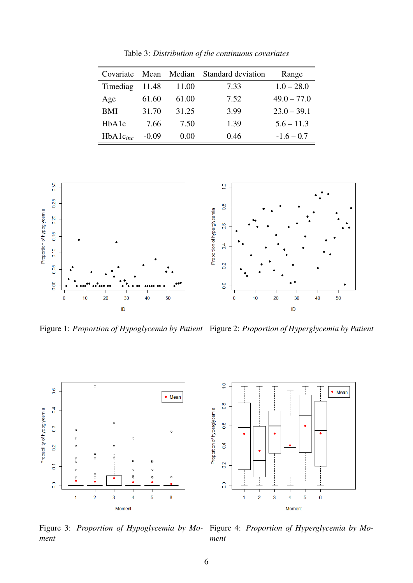| Covariate     |         |       | Mean Median Standard deviation | Range         |
|---------------|---------|-------|--------------------------------|---------------|
| Timediag      | 11.48   | 11.00 | 7.33                           | $1.0 - 28.0$  |
| Age           | 61.60   | 61.00 | 7.52                           | $49.0 - 77.0$ |
| <b>BMI</b>    | 31.70   | 31.25 | 3.99                           | $23.0 - 39.1$ |
| HbA1c         | 7.66    | 7.50  | 1.39                           | $5.6 - 11.3$  |
| $HbA1c_{inc}$ | $-0.09$ | 0.00  | 0.46                           | $-1.6 - 0.7$  |



Figure 1: *Proportion of Hypoglycemia by Patient* Figure 2: *Proportion of Hyperglycemia by Patient*



Figure 3: *Proportion of Hypoglycemia by Moment* Figure 4: *Proportion of Hyperglycemia by Moment*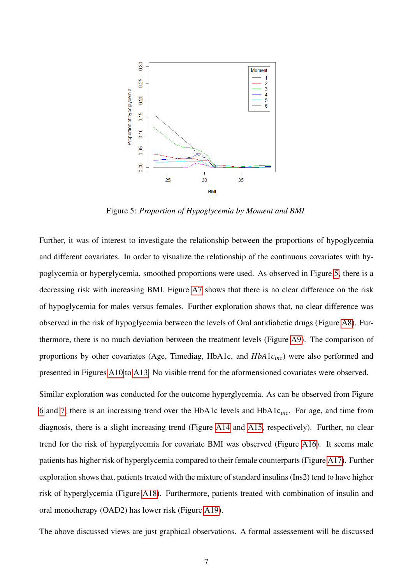

Figure 5: *Proportion of Hypoglycemia by Moment and BMI*

Further, it was of interest to investigate the relationship between the proportions of hypoglycemia and different covariates. In order to visualize the relationship of the continuous covariates with hypoglycemia or hyperglycemia, smoothed proportions were used. As observed in Figure 5, there is a decreasing risk with increasing BMI. Figure A7 shows that there is no clear difference on the risk of hypoglycemia for males versus females. Further exploration shows that, no clear difference was observed in the risk of hypoglycemia between the levels of Oral antidiabetic drugs (Figure A8). Furthermore, there is no much deviation between the treatment levels (Figure A9). The comparison of proportions by other covariates (Age, Timediag, HbA1c, and *HbA*1*cinc*) were also performed and presented in Figures A10 to A13. No visible trend for the aformensioned covariates were observed.

Similar exploration was conducted for the outcome hyperglycemia. As can be observed from Figure 6 and 7, there is an increasing trend over the HbA1c levels and HbA1c*inc*. For age, and time from diagnosis, there is a slight increasing trend (Figure A14 and A15, respectively). Further, no clear trend for the risk of hyperglycemia for covariate BMI was observed (Figure A16). It seems male patients has higher risk of hyperglycemia compared to their female counterparts (Figure A17). Further exploration shows that, patients treated with the mixture of standard insulins (Ins2) tend to have higher risk of hyperglycemia (Figure A18). Furthermore, patients treated with combination of insulin and oral monotherapy (OAD2) has lower risk (Figure A19).

The above discussed views are just graphical observations. A formal assessement will be discussed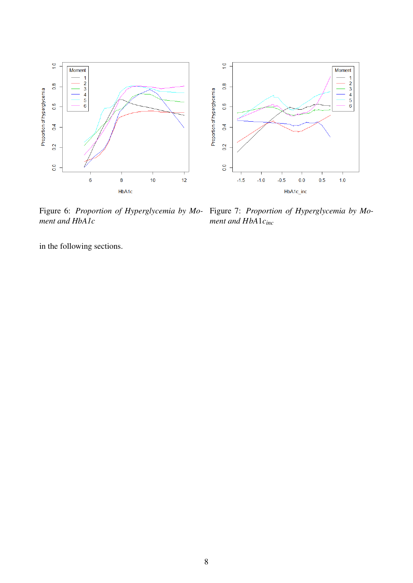

Figure 6: Proportion of Hyperglycemia by Mo- Figure 7: Proportion of Hyperglycemia by Mo*ment and HbA1c*

*ment and HbA*1*cinc*

in the following sections.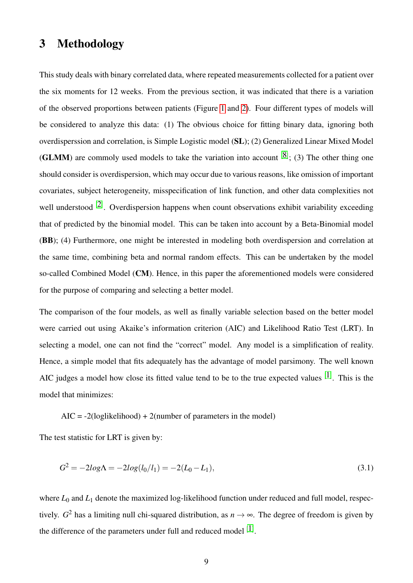# 3 Methodology

This study deals with binary correlated data, where repeated measurements collected for a patient over the six moments for 12 weeks. From the previous section, it was indicated that there is a variation of the observed proportions between patients (Figure 1 and 2). Four different types of models will be considered to analyze this data: (1) The obvious choice for fitting binary data, ignoring both overdisperssion and correlation, is Simple Logistic model (SL); (2) Generalized Linear Mixed Model (**GLMM**) are commoly used models to take the variation into account  $[8]$ ; (3) The other thing one should consider is overdispersion, which may occur due to various reasons, like omission of important covariates, subject heterogeneity, misspecification of link function, and other data complexities not well understood  $[2]$ . Overdispersion happens when count observations exhibit variability exceeding that of predicted by the binomial model. This can be taken into account by a Beta-Binomial model (BB); (4) Furthermore, one might be interested in modeling both overdispersion and correlation at the same time, combining beta and normal random effects. This can be undertaken by the model so-called Combined Model (CM). Hence, in this paper the aforementioned models were considered for the purpose of comparing and selecting a better model.

The comparison of the four models, as well as finally variable selection based on the better model were carried out using Akaike's information criterion (AIC) and Likelihood Ratio Test (LRT). In selecting a model, one can not find the "correct" model. Any model is a simplification of reality. Hence, a simple model that fits adequately has the advantage of model parsimony. The well known AIC judges a model how close its fitted value tend to be to the true expected values  $[1]$ . This is the model that minimizes:

 $AIC = -2(loglikelihood) + 2(number of parameters in the model)$ 

The test statistic for LRT is given by:

$$
G2 = -2log\Lambda = -2log(l0/l1) = -2(L0 - L1),
$$
\n(3.1)

where  $L_0$  and  $L_1$  denote the maximized log-likelihood function under reduced and full model, respectively.  $G^2$  has a limiting null chi-squared distribution, as  $n \to \infty$ . The degree of freedom is given by the difference of the parameters under full and reduced model  $[1]$ .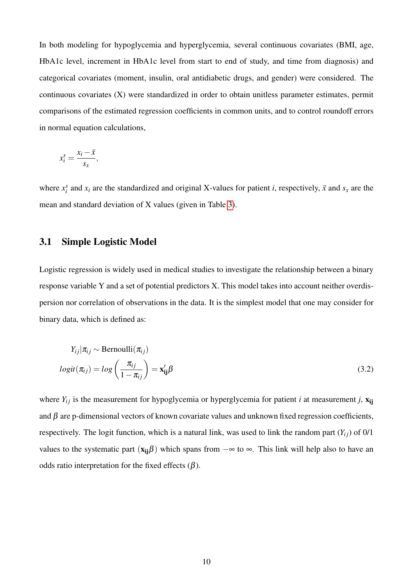In both modeling for hypoglycemia and hyperglycemia, several continuous covariates (BMI, age, HbA1c level, increment in HbA1c level from start to end of study, and time from diagnosis) and categorical covariates (moment, insulin, oral antidiabetic drugs, and gender) were considered. The continuous covariates (X) were standardized in order to obtain unitless parameter estimates, permit comparisons of the estimated regression coefficients in common units, and to control roundoff errors in normal equation calculations,

$$
x_i^s = \frac{x_i - \bar{x}}{s_x},
$$

where  $x_i^s$  and  $x_i$  are the standardized and original X-values for patient *i*, respectively,  $\bar{x}$  and  $s_x$  are the mean and standard deviation of X values (given in Table 3).

#### 3.1 Simple Logistic Model

Logistic regression is widely used in medical studies to investigate the relationship between a binary response variable Y and a set of potential predictors X. This model takes into account neither overdispersion nor correlation of observations in the data. It is the simplest model that one may consider for binary data, which is defined as:

$$
Y_{ij}|\pi_{ij} \sim \text{Bernoulli}(\pi_{ij})
$$
  

$$
logit(\pi_{ij}) = log\left(\frac{\pi_{ij}}{1 - \pi_{ij}}\right) = \mathbf{x}'_{ij}\beta
$$
 (3.2)

where  $Y_{ij}$  is the measurement for hypoglycemia or hyperglycemia for patient *i* at measurement *j*,  $\mathbf{x}_{ij}$ and  $\beta$  are p-dimensional vectors of known covariate values and unknown fixed regression coefficients, respectively. The logit function, which is a natural link, was used to link the random part  $(Y_{ij})$  of  $0/1$ values to the systematic part  $(x_{ii}\beta)$  which spans from  $-\infty$  to  $\infty$ . This link will help also to have an odds ratio interpretation for the fixed effects  $(\beta)$ .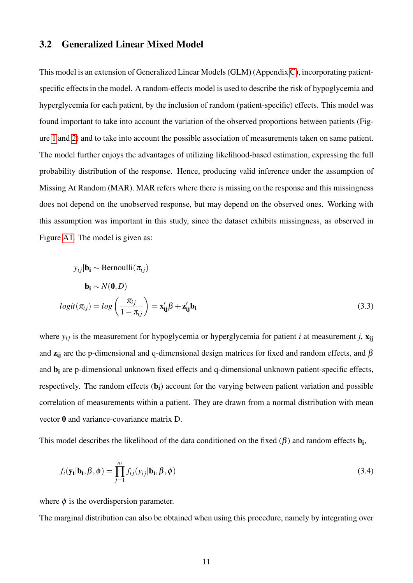#### 3.2 Generalized Linear Mixed Model

This model is an extension of Generalized Linear Models (GLM) (Appendix C), incorporating patientspecific effects in the model. A random-effects model is used to describe the risk of hypoglycemia and hyperglycemia for each patient, by the inclusion of random (patient-specific) effects. This model was found important to take into account the variation of the observed proportions between patients (Figure 1 and 2) and to take into account the possible association of measurements taken on same patient. The model further enjoys the advantages of utilizing likelihood-based estimation, expressing the full probability distribution of the response. Hence, producing valid inference under the assumption of Missing At Random (MAR). MAR refers where there is missing on the response and this missingness does not depend on the unobserved response, but may depend on the observed ones. Working with this assumption was important in this study, since the dataset exhibits missingness, as observed in Figure A1. The model is given as:

$$
y_{ij}|\mathbf{b_i} \sim \text{Bernoulli}(\pi_{ij})
$$
  

$$
\mathbf{b_i} \sim N(\mathbf{0}, D)
$$
  

$$
logit(\pi_{ij}) = log\left(\frac{\pi_{ij}}{1 - \pi_{ij}}\right) = \mathbf{x'_{ij}}\beta + \mathbf{z'_{ij}}\mathbf{b_i}
$$
 (3.3)

where  $y_{ij}$  is the measurement for hypoglycemia or hyperglycemia for patient *i* at measurement *j*,  $x_{ij}$ and  $z_{ii}$  are the p-dimensional and q-dimensional design matrices for fixed and random effects, and  $\beta$ and  $b_i$  are p-dimensional unknown fixed effects and q-dimensional unknown patient-specific effects, respectively. The random effects (b<sub>i</sub>) account for the varying between patient variation and possible correlation of measurements within a patient. They are drawn from a normal distribution with mean vector 0 and variance-covariance matrix D.

This model describes the likelihood of the data conditioned on the fixed  $(\beta)$  and random effects  $\mathbf{b_i}$ ,

$$
f_i(\mathbf{y_i}|\mathbf{b_i}, \boldsymbol{\beta}, \boldsymbol{\phi}) = \prod_{j=1}^{n_i} f_{ij}(y_{ij}|\mathbf{b_i}, \boldsymbol{\beta}, \boldsymbol{\phi})
$$
\n(3.4)

where  $\phi$  is the overdispersion parameter.

The marginal distribution can also be obtained when using this procedure, namely by integrating over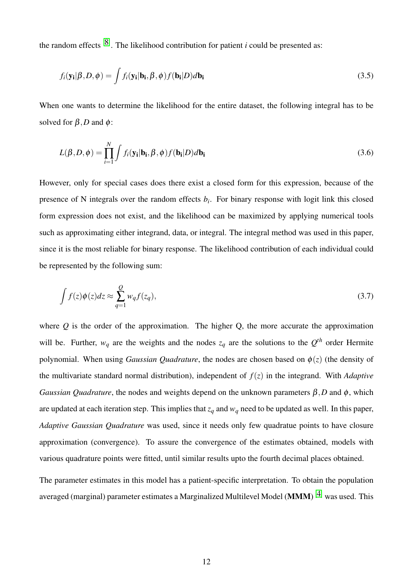the random effects  $[8]$ . The likelihood contribution for patient *i* could be presented as:

$$
f_i(\mathbf{y_i}|\boldsymbol{\beta}, D, \boldsymbol{\phi}) = \int f_i(\mathbf{y_i}|\mathbf{b_i}, \boldsymbol{\beta}, \boldsymbol{\phi}) f(\mathbf{b_i}|\boldsymbol{D}) d\mathbf{b_i}
$$
\n(3.5)

When one wants to determine the likelihood for the entire dataset, the following integral has to be solved for  $\beta$ , *D* and  $\phi$ :

$$
L(\beta, D, \phi) = \prod_{i=1}^{N} \int f_i(\mathbf{y_i}|\mathbf{b_i}, \beta, \phi) f(\mathbf{b_i}|D) d\mathbf{b_i}
$$
 (3.6)

However, only for special cases does there exist a closed form for this expression, because of the presence of N integrals over the random effects *b<sup>i</sup>* . For binary response with logit link this closed form expression does not exist, and the likelihood can be maximized by applying numerical tools such as approximating either integrand, data, or integral. The integral method was used in this paper, since it is the most reliable for binary response. The likelihood contribution of each individual could be represented by the following sum:

$$
\int f(z)\phi(z)dz \approx \sum_{q=1}^{Q} w_q f(z_q),\tag{3.7}
$$

where  $Q$  is the order of the approximation. The higher  $Q$ , the more accurate the approximation will be. Further,  $w_q$  are the weights and the nodes  $z_q$  are the solutions to the  $Q^{th}$  order Hermite polynomial. When using *Gaussian Quadrature*, the nodes are chosen based on  $\phi(z)$  (the density of the multivariate standard normal distribution), independent of  $f(z)$  in the integrand. With *Adaptive Gaussian Quadrature*, the nodes and weights depend on the unknown parameters β,*D* and φ, which are updated at each iteration step. This implies that  $z_q$  and  $w_q$  need to be updated as well. In this paper, *Adaptive Gaussian Quadrature* was used, since it needs only few quadratue points to have closure approximation (convergence). To assure the convergence of the estimates obtained, models with various quadrature points were fitted, until similar results upto the fourth decimal places obtained.

The parameter estimates in this model has a patient-specific interpretation. To obtain the population averaged (marginal) parameter estimates a Marginalized Multilevel Model (**MMM**)  $^{[4]}$  was used. This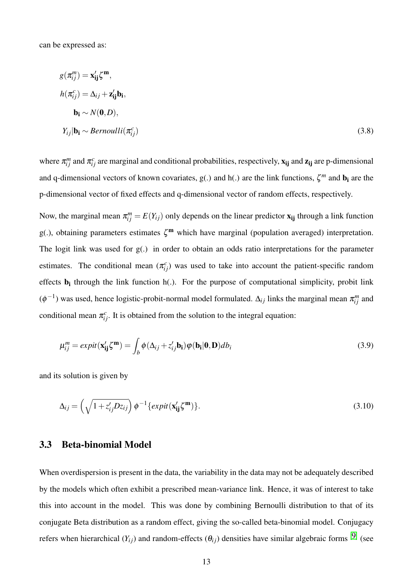can be expressed as:

$$
g(\pi_{ij}^{m}) = \mathbf{x}_{ij}^{\prime} \zeta^{m},
$$
  
\n
$$
h(\pi_{ij}^{c}) = \Delta_{ij} + \mathbf{z}_{ij}^{\prime} \mathbf{b}_{i},
$$
  
\n
$$
\mathbf{b}_{i} \sim N(\mathbf{0}, D),
$$
  
\n
$$
Y_{ij} | \mathbf{b}_{i} \sim Bernoulli(\pi_{ij}^{c})
$$
\n(3.8)

where  $\pi_{ij}^m$  and  $\pi_{ij}^c$  are marginal and conditional probabilities, respectively,  $x_{ij}$  and  $z_{ij}$  are p-dimensional and q-dimensional vectors of known covariates,  $g(.)$  and  $h(.)$  are the link functions,  $\zeta^m$  and  $b_i$  are the p-dimensional vector of fixed effects and q-dimensional vector of random effects, respectively.

Now, the marginal mean  $\pi_{ij}^m = E(Y_{ij})$  only depends on the linear predictor  $\mathbf{x}_{ij}$  through a link function g(.), obtaining parameters estimates  $\zeta^m$  which have marginal (population averaged) interpretation. The logit link was used for g(.) in order to obtain an odds ratio interpretations for the parameter estimates. The conditional mean  $(\pi_{ij}^c)$  was used to take into account the patient-specific random effects  $\mathbf{b}_i$  through the link function  $h(.)$ . For the purpose of computational simplicity, probit link  $(\phi^{-1})$  was used, hence logistic-probit-normal model formulated.  $\Delta_{ij}$  links the marginal mean  $\pi_{ij}^m$  and conditional mean  $\pi_{ij}^c$ . It is obtained from the solution to the integral equation:

$$
\mu_{ij}^{m} = expit(\mathbf{x}_{ij}^{\prime} \zeta^{m}) = \int_{b} \phi(\Delta_{ij} + z_{ij}^{\prime} \mathbf{b}_{i}) \phi(\mathbf{b}_{i} | \mathbf{0}, \mathbf{D}) db_{i}
$$
(3.9)

and its solution is given by

$$
\Delta_{ij} = \left(\sqrt{1 + z'_{ij}Dz_{ij}}\right)\phi^{-1}\left\{expit(\mathbf{x'_{ij}}\zeta^{\mathbf{m}})\right\}.
$$
\n(3.10)

#### 3.3 Beta-binomial Model

When overdispersion is present in the data, the variability in the data may not be adequately described by the models which often exhibit a prescribed mean-variance link. Hence, it was of interest to take this into account in the model. This was done by combining Bernoulli distribution to that of its conjugate Beta distribution as a random effect, giving the so-called beta-binomial model. Conjugacy refers when hierarchical  $(Y_{ij})$  and random-effects  $(\theta_{ij})$  densities have similar algebraic forms <sup>[9]</sup> (see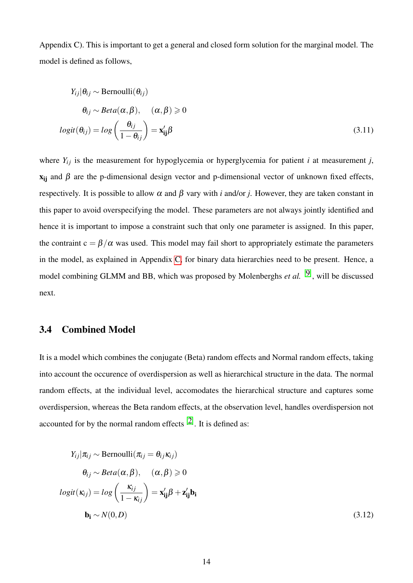Appendix C). This is important to get a general and closed form solution for the marginal model. The model is defined as follows,

$$
Y_{ij}|\theta_{ij} \sim \text{Bernoulli}(\theta_{ij})
$$
  
\n
$$
\theta_{ij} \sim Beta(\alpha, \beta), \quad (\alpha, \beta) \ge 0
$$
  
\n
$$
logit(\theta_{ij}) = log\left(\frac{\theta_{ij}}{1 - \theta_{ij}}\right) = \mathbf{x}'_{ij}\beta
$$
 (3.11)

where  $Y_{ij}$  is the measurement for hypoglycemia or hyperglycemia for patient *i* at measurement *j*,  $x_{ii}$  and  $\beta$  are the p-dimensional design vector and p-dimensional vector of unknown fixed effects, respectively. It is possible to allow α and β vary with *i* and/or *j*. However, they are taken constant in this paper to avoid overspecifying the model. These parameters are not always jointly identified and hence it is important to impose a constraint such that only one parameter is assigned. In this paper, the contraint  $c = \frac{\beta}{\alpha}$  was used. This model may fail short to appropriately estimate the parameters in the model, as explained in Appendix C, for binary data hierarchies need to be present. Hence, a model combining GLMM and BB, which was proposed by Molenberghs *et al.* [9], will be discussed next.

#### 3.4 Combined Model

It is a model which combines the conjugate (Beta) random effects and Normal random effects, taking into account the occurence of overdispersion as well as hierarchical structure in the data. The normal random effects, at the individual level, accomodates the hierarchical structure and captures some overdispersion, whereas the Beta random effects, at the observation level, handles overdispersion not accounted for by the normal random effects  $[2]$ . It is defined as:

$$
Y_{ij}|\pi_{ij} \sim \text{Bernoulli}(\pi_{ij} = \theta_{ij}\kappa_{ij})
$$
  
\n
$$
\theta_{ij} \sim Beta(\alpha, \beta), \quad (\alpha, \beta) \ge 0
$$
  
\n
$$
logit(\kappa_{ij}) = log\left(\frac{\kappa_{ij}}{1 - \kappa_{ij}}\right) = \mathbf{x}'_{ij}\beta + \mathbf{z}'_{ij}\mathbf{b}_{i}
$$
  
\n
$$
\mathbf{b}_{i} \sim N(0, D)
$$
 (3.12)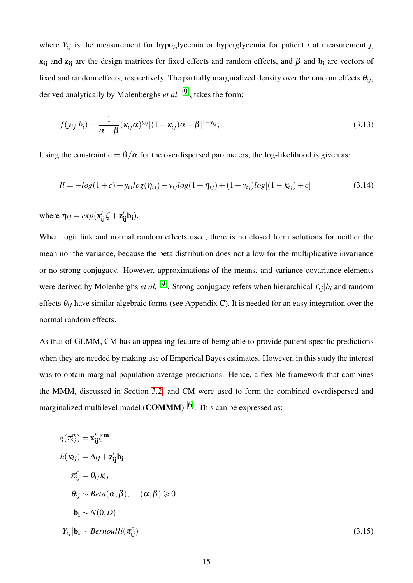where  $Y_{ij}$  is the measurement for hypoglycemia or hyperglycemia for patient *i* at measurement *j*,  $x_{ij}$  and  $z_{ij}$  are the design matrices for fixed effects and random effects, and  $\beta$  and  $b_i$  are vectors of fixed and random effects, respectively. The partially marginalized density over the random effects  $\theta_{ij}$ , derived analytically by Molenberghs *et al.* [9] , takes the form:

$$
f(y_{ij}|b_i) = \frac{1}{\alpha + \beta} (\kappa_{ij}\alpha)^{y_{ij}} [(1 - \kappa_{ij})\alpha + \beta]^{1 - y_{ij}},
$$
\n(3.13)

Using the constraint  $c = \frac{\beta}{\alpha}$  for the overdispersed parameters, the log-likelihood is given as:

$$
ll = -log(1+c) + y_{ij}log(\eta_{ij}) - y_{ij}log(1+\eta_{ij}) + (1-y_{ij})log[(1-\kappa_{ij})+c]
$$
\n(3.14)

where  $\eta_{ij} = exp(\mathbf{x}'_{ij} \zeta + \mathbf{z}'_{ij} \mathbf{b}_i)$ .

When logit link and normal random effects used, there is no closed form solutions for neither the mean nor the variance, because the beta distribution does not allow for the multiplicative invariance or no strong conjugacy. However, approximations of the means, and variance-covariance elements were derived by Molenberghs *et al.* [9] . Strong conjugacy refers when hierarchical *Yi j*|*b<sup>i</sup>* and random effects  $\theta_{ij}$  have similar algebraic forms (see Appendix C). It is needed for an easy integration over the normal random effects.

As that of GLMM, CM has an appealing feature of being able to provide patient-specific predictions when they are needed by making use of Emperical Bayes estimates. However, in this study the interest was to obtain marginal population average predictions. Hence, a flexible framework that combines the MMM, discussed in Section 3.2, and CM were used to form the combined overdispersed and marginalized multilevel model (**COMMM**)  $^{[6]}$ . This can be expressed as:

$$
g(\pi_{ij}^{m}) = \mathbf{x}_{ij}^{\prime} \zeta^{m}
$$
  
\n
$$
h(\kappa_{ij}) = \Delta_{ij} + \mathbf{z}_{ij}^{\prime} \mathbf{b}_{i}
$$
  
\n
$$
\pi_{ij}^{c} = \theta_{ij} \kappa_{ij}
$$
  
\n
$$
\theta_{ij} \sim Beta(\alpha, \beta), \quad (\alpha, \beta) \ge 0
$$
  
\n
$$
\mathbf{b}_{i} \sim N(0, D)
$$
  
\n
$$
Y_{ij} | \mathbf{b}_{i} \sim Bernoulli(\pi_{ij}^{c})
$$
\n(3.15)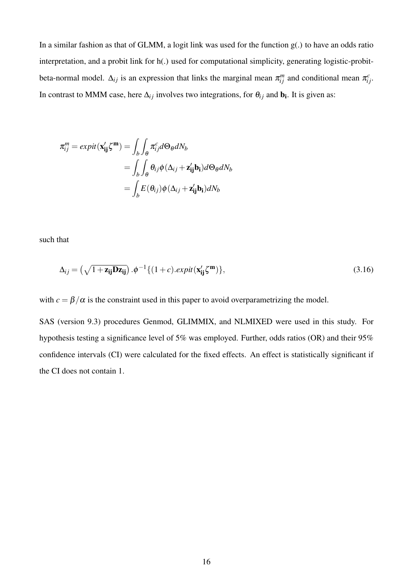In a similar fashion as that of GLMM, a logit link was used for the function  $g(.)$  to have an odds ratio interpretation, and a probit link for h(.) used for computational simplicity, generating logistic-probitbeta-normal model.  $\Delta_{ij}$  is an expression that links the marginal mean  $\pi_{ij}^m$  and conditional mean  $\pi_{ij}^c$ . In contrast to MMM case, here  $\Delta_{ij}$  involves two integrations, for  $\theta_{ij}$  and  $\mathbf{b}_i$ . It is given as:

$$
\pi_{ij}^{m} = expit(\mathbf{x}_{ij}'\zeta^{m}) = \int_{b} \int_{\theta} \pi_{ij}^{c} d\Theta_{\theta} dN_{b}
$$
  
= 
$$
\int_{b} \int_{\theta} \theta_{ij} \phi(\Delta_{ij} + \mathbf{z}_{ij}' \mathbf{b}_{i}) d\Theta_{\theta} dN_{b}
$$
  
= 
$$
\int_{b} E(\theta_{ij}) \phi(\Delta_{ij} + \mathbf{z}_{ij}' \mathbf{b}_{i}) dN_{b}
$$

such that

$$
\Delta_{ij} = \left(\sqrt{1 + \mathbf{z_{ij}}\mathbf{D}\mathbf{z_{ij}}}\right).\phi^{-1}\{(1 + c).expit(\mathbf{x'_{ij}}\zeta^m)\},\tag{3.16}
$$

with  $c = \frac{\beta}{\alpha}$  is the constraint used in this paper to avoid overparametrizing the model.

SAS (version 9.3) procedures Genmod, GLIMMIX, and NLMIXED were used in this study. For hypothesis testing a significance level of 5% was employed. Further, odds ratios (OR) and their 95% confidence intervals (CI) were calculated for the fixed effects. An effect is statistically significant if the CI does not contain 1.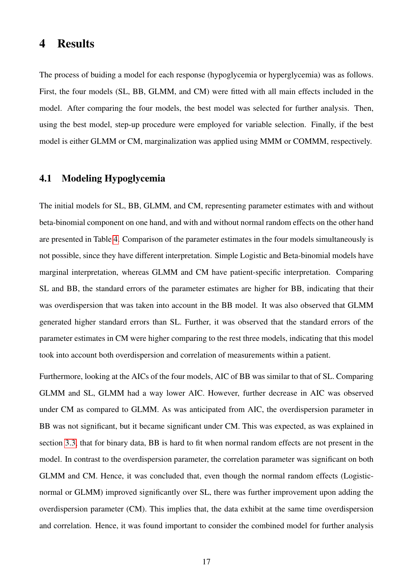### 4 Results

The process of buiding a model for each response (hypoglycemia or hyperglycemia) was as follows. First, the four models (SL, BB, GLMM, and CM) were fitted with all main effects included in the model. After comparing the four models, the best model was selected for further analysis. Then, using the best model, step-up procedure were employed for variable selection. Finally, if the best model is either GLMM or CM, marginalization was applied using MMM or COMMM, respectively.

#### 4.1 Modeling Hypoglycemia

The initial models for SL, BB, GLMM, and CM, representing parameter estimates with and without beta-binomial component on one hand, and with and without normal random effects on the other hand are presented in Table 4. Comparison of the parameter estimates in the four models simultaneously is not possible, since they have different interpretation. Simple Logistic and Beta-binomial models have marginal interpretation, whereas GLMM and CM have patient-specific interpretation. Comparing SL and BB, the standard errors of the parameter estimates are higher for BB, indicating that their was overdispersion that was taken into account in the BB model. It was also observed that GLMM generated higher standard errors than SL. Further, it was observed that the standard errors of the parameter estimates in CM were higher comparing to the rest three models, indicating that this model took into account both overdispersion and correlation of measurements within a patient.

Furthermore, looking at the AICs of the four models, AIC of BB was similar to that of SL. Comparing GLMM and SL, GLMM had a way lower AIC. However, further decrease in AIC was observed under CM as compared to GLMM. As was anticipated from AIC, the overdispersion parameter in BB was not significant, but it became significant under CM. This was expected, as was explained in section 3.3, that for binary data, BB is hard to fit when normal random effects are not present in the model. In contrast to the overdispersion parameter, the correlation parameter was significant on both GLMM and CM. Hence, it was concluded that, even though the normal random effects (Logisticnormal or GLMM) improved significantly over SL, there was further improvement upon adding the overdispersion parameter (CM). This implies that, the data exhibit at the same time overdispersion and correlation. Hence, it was found important to consider the combined model for further analysis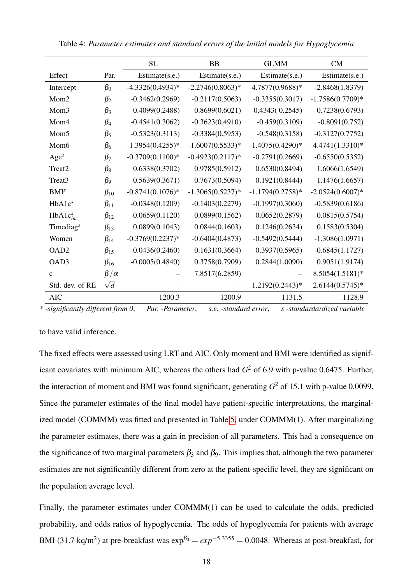|                       |                | <b>SL</b>          | <b>BB</b>           | <b>GLMM</b>        | CM                 |
|-----------------------|----------------|--------------------|---------------------|--------------------|--------------------|
| Effect                | Par.           | Estimate(s.e.)     | Estimate(s.e.)      | Estimate(s.e.)     | Estimate(s.e.)     |
| Intercept             | $\beta_0$      | $-4.3326(0.4934)*$ | $-2.2746(0.8063)*$  | $-4.7877(0.9688)*$ | $-2.8468(1.8379)$  |
| Mom2                  | $\beta_2$      | $-0.3462(0.2969)$  | $-0.2117(0.5063)$   | $-0.3355(0.3017)$  | $-1.7586(0.7709)*$ |
| Mom <sub>3</sub>      | $\beta_3$      | 0.4099(0.2488)     | 0.8699(0.6021)      | 0.4343(0.2545)     | 0.7238(0.6793)     |
| Mom4                  | $\beta_4$      | $-0.4541(0.3062)$  | $-0.3623(0.4910)$   | $-0.459(0.3109)$   | $-0.8091(0.752)$   |
| Mom <sub>5</sub>      | $\beta_5$      | $-0.5323(0.3113)$  | $-0.3384(0.5953)$   | $-0.548(0.3158)$   | $-0.3127(0.7752)$  |
| Mom <sub>6</sub>      | $\beta_6$      | $-1.3954(0.4255)*$ | $-1.6007(0.5533)*$  | $-1.4075(0.4290)*$ | $-4.4741(1.3310)*$ |
| Age <sup>s</sup>      | $\beta_7$      | $-0.3709(0.1100)*$ | $-0.4923(0.2117)$ * | $-0.2791(0.2669)$  | $-0.6550(0.5352)$  |
| Treat2                | $\beta_8$      | 0.6338(0.3702)     | 0.9785(0.5912)      | 0.6530(0.8494)     | 1.6066(1.6549)     |
| Treat3                | $\beta_9$      | 0.5639(0.3671)     | 0.7673(0.5094)      | 0.1921(0.8444)     | 1.1476(1.6657)     |
| BMI <sup>s</sup>      | $\beta_{10}$   | $-0.8741(0.1076)*$ | $-1.3065(0.5237)*$  | $-1.1794(0.2758)*$ | $-2.0524(0.6007)*$ |
| HbA1c <sup>s</sup>    | $\beta_{11}$   | $-0.0348(0.1209)$  | $-0.1403(0.2279)$   | $-0.1997(0.3060)$  | $-0.5839(0.6186)$  |
| $HbA1c_{inc}^s$       | $\beta_{12}$   | $-0.0659(0.1120)$  | $-0.0899(0.1562)$   | $-0.0652(0.2879)$  | $-0.0815(0.5754)$  |
| Timediag <sup>s</sup> | $\beta_{13}$   | 0.0899(0.1043)     | 0.0844(0.1603)      | 0.1246(0.2634)     | 0.1583(0.5304)     |
| Women                 | $\beta_{14}$   | $-0.3769(0.2237)*$ | $-0.6404(0.4873)$   | $-0.5492(0.5444)$  | $-1.3086(1.0971)$  |
| OAD <sub>2</sub>      | $\beta_{15}$   | $-0.0436(0.2460)$  | $-0.1631(0.3664)$   | $-0.3937(0.5965)$  | $-0.6845(1.1727)$  |
| OAD3                  | $\beta_{16}$   | $-0.0005(0.4840)$  | 0.3758(0.7909)      | 0.2844(1.0090)     | 0.9051(1.9174)     |
| $\mathbf{C}$          | $\beta/\alpha$ |                    | 7.8517(6.2859)      |                    | 8.5054(1.5181)*    |
| Std. dev. of RE       | $\sqrt{d}$     |                    |                     | 1.2192(0.2443)*    | $2.6144(0.5745)*$  |
| <b>AIC</b>            |                | 1200.3             | 1200.9              | 1131.5             | 1128.9             |

Table 4: *Parameter estimates and standard errors of the initial models for Hypoglycemia*

*\* -significantly different from 0*, *Par. -Parameter*, *s.e. -standard error*, *s -standardardized variable*

to have valid inference.

The fixed effects were assessed using LRT and AIC. Only moment and BMI were identified as significant covariates with minimum AIC, whereas the others had *G* <sup>2</sup> of 6.9 with p-value 0.6475. Further, the interaction of moment and BMI was found significant, generating *G* <sup>2</sup> of 15.1 with p-value 0.0099. Since the parameter estimates of the final model have patient-specific interpretations, the marginalized model (COMMM) was fitted and presented in Table 5, under COMMM(1). After marginalizing the parameter estimates, there was a gain in precision of all parameters. This had a consequence on the significance of two marginal parameters  $\beta_3$  and  $\beta_9$ . This implies that, although the two parameter estimates are not significantily different from zero at the patient-specific level, they are significant on the population average level.

Finally, the parameter estimates under COMMM(1) can be used to calculate the odds, predicted probability, and odds ratios of hypoglycemia. The odds of hypoglycemia for patients with average BMI (31.7 kq/m<sup>2</sup>) at pre-breakfast was  $\exp^{\beta_0} = exp^{-5.3355} = 0.0048$ . Whereas at post-breakfast, for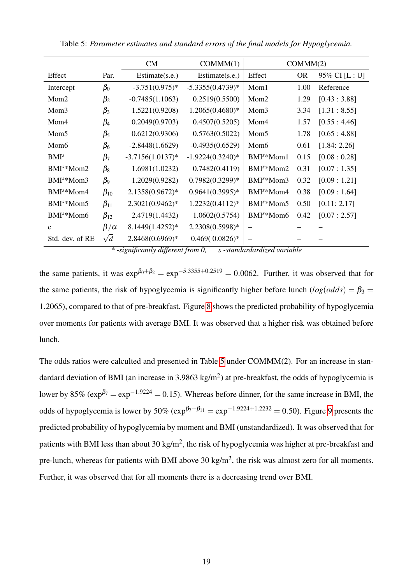|                        |                                | CM                                | COMMM(1)                                         | COMMM(2)                            |                         |                |
|------------------------|--------------------------------|-----------------------------------|--------------------------------------------------|-------------------------------------|-------------------------|----------------|
| Effect                 | Par.                           | Estimate(s.e.)                    | Estimate(s.e.)                                   | Effect                              | <b>OR</b>               | 95% CI [L : U] |
| Intercept              | $\beta_0$                      | $-3.751(0.975)*$                  | $-5.3355(0.4739)*$                               | Mom1                                | 1.00                    | Reference      |
| Mom <sub>2</sub>       | $\beta_2$                      | $-0.7485(1.1063)$                 | 0.2519(0.5500)                                   | Mom <sub>2</sub>                    | 1.29                    | [0.43:3.88]    |
| Mom <sub>3</sub>       | $\beta_3$                      | 1.5221(0.9208)                    | $1.2065(0.4680)*$                                | Mom <sub>3</sub>                    | 3.34                    | [1.31:8.55]    |
| Mom4                   | $\beta_4$                      | 0.2049(0.9703)                    | 0.4507(0.5205)                                   | Mom4                                | 1.57                    | [0.55:4.46]    |
| Mom <sub>5</sub>       | $\beta_5$                      | 0.6212(0.9306)                    | 0.5763(0.5022)                                   | Mom <sub>5</sub>                    | 1.78                    | [0.65:4.88]    |
| Mom <sub>6</sub>       | $\beta_6$                      | $-2.8448(1.6629)$                 | $-0.4935(0.6529)$                                | Mom <sub>6</sub>                    | 0.61                    | [1.84: 2.26]   |
| BMI <sup>s</sup>       | $\beta_7$                      | $-3.7156(1.0137)^*$               | $-1.9224(0.3240)*$                               | BMI <sup>s</sup> *Mom1              | 0.15                    | [0.08:0.28]    |
| BMI <sup>s</sup> *Mom2 | $\beta_8$                      | 1.6981(1.0232)                    | 0.7482(0.4119)                                   | BMI <sup>s</sup> *Mom2              | 0.31                    | [0.07:1.35]    |
| BMI <sup>s</sup> *Mom3 | $\beta_9$                      | 1.2029(0.9282)                    | $0.7982(0.3299)*$                                | BMI <sup>s</sup> *Mom3              | 0.32                    | [0.09:1.21]    |
| BMI <sup>s</sup> *Mom4 | $\beta_{10}$                   | 2.1358(0.9672)*                   | $0.9641(0.3995)*$                                | BMI <sup>s</sup> *Mom4              | 0.38                    | [0.09:1.64]    |
| BMI <sup>s</sup> *Mom5 | $\beta_{11}$                   | $2.3021(0.9462)*$                 | $1.2232(0.4112)*$                                | BMI <sup>s</sup> *Mom5              | 0.50                    | [0.11: 2.17]   |
| BMI <sup>s</sup> *Mom6 | $\beta_{12}$                   | 2.4719(1.4432)                    | 1.0602(0.5754)                                   | BMI <sup>s</sup> *Mom6              | 0.42                    | [0.07:2.57]    |
| $\mathbf{C}$           | $\beta/\alpha$                 | 8.1449(1.4252)*                   | 2.2308(0.5998)*                                  | $\overline{\phantom{0}}$            |                         |                |
| Std. dev. of RE        | $\sqrt{d}$<br>$\Delta \vec{r}$ | 2.8468(0.6969)*<br>$\cdot$ $\sim$ | $0.469(0.0826)*$<br>$\sqrt{ }$<br>$\cdot$ $\sim$ | $1 \quad 1 \quad 1$<br>$\mathbf{r}$ | $\cdot$ $\cdot$ $\cdot$ |                |

Table 5: *Parameter estimates and standard errors of the final models for Hypoglycemia.*

*\* -significantly different from 0, s -standardardized variable*

the same patients, it was  $\exp^{\beta_0+\beta_2} = \exp^{-5.3355+0.2519} = 0.0062$ . Further, it was observed that for the same patients, the risk of hypoglycemia is significantly higher before lunch  $(log(odds) = \beta_3 =$ 1.2065), compared to that of pre-breakfast. Figure 8 shows the predicted probability of hypoglycemia over moments for patients with average BMI. It was observed that a higher risk was obtained before lunch.

The odds ratios were calculted and presented in Table 5 under COMMM(2). For an increase in standardard deviation of BMI (an increase in 3.9863 kg/m<sup>2</sup>) at pre-breakfast, the odds of hypoglycemia is lower by 85%  $(\exp^{\beta_7} = \exp^{-1.9224} = 0.15)$ . Whereas before dinner, for the same increase in BMI, the odds of hypoglycemia is lower by 50%  $(\exp^{\beta_7+\beta_{11}} = \exp^{-1.9224+1.2232} = 0.50)$ . Figure 9 presents the predicted probability of hypoglycemia by moment and BMI (unstandardized). It was observed that for patients with BMI less than about 30 kg/m<sup>2</sup>, the risk of hypoglycemia was higher at pre-breakfast and pre-lunch, whereas for patients with BMI above 30 kg/m<sup>2</sup>, the risk was almost zero for all moments. Further, it was observed that for all moments there is a decreasing trend over BMI.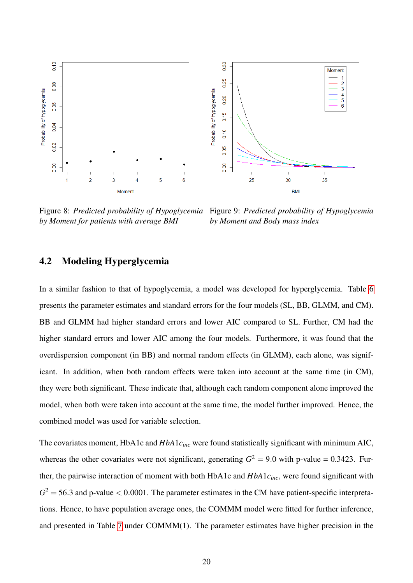

Figure 8: *Predicted probability of Hypoglycemia* Figure 9: *Predicted probability of Hypoglycemia by Moment for patients with average BMI*

*by Moment and Body mass index*

#### 4.2 Modeling Hyperglycemia

In a similar fashion to that of hypoglycemia, a model was developed for hyperglycemia. Table 6 presents the parameter estimates and standard errors for the four models (SL, BB, GLMM, and CM). BB and GLMM had higher standard errors and lower AIC compared to SL. Further, CM had the higher standard errors and lower AIC among the four models. Furthermore, it was found that the overdispersion component (in BB) and normal random effects (in GLMM), each alone, was significant. In addition, when both random effects were taken into account at the same time (in CM), they were both significant. These indicate that, although each random component alone improved the model, when both were taken into account at the same time, the model further improved. Hence, the combined model was used for variable selection.

The covariates moment, HbA1c and *HbA*1*cinc* were found statistically significant with minimum AIC, whereas the other covariates were not significant, generating  $G^2 = 9.0$  with p-value = 0.3423. Further, the pairwise interaction of moment with both HbA1c and *HbA*1*cinc*, were found significant with  $G^2$  = 56.3 and p-value  $<$  0.0001. The parameter estimates in the CM have patient-specific interpretations. Hence, to have population average ones, the COMMM model were fitted for further inference, and presented in Table 7 under COMMM(1). The parameter estimates have higher precision in the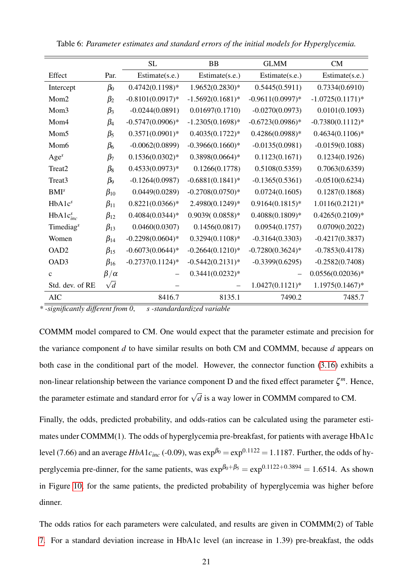|                       |                | <b>SL</b>           | <b>BB</b>          | <b>GLMM</b>         | CM                 |  |
|-----------------------|----------------|---------------------|--------------------|---------------------|--------------------|--|
| Effect                | Par.           | Estimate(s.e.)      | Estimate(s.e.)     | Estimate(s.e.)      | Estimate(s.e.)     |  |
| Intercept             | $\beta_0$      | $0.4742(0.1198)*$   | 1.9652(0.2830)*    | 0.5445(0.5911)      | 0.7334(0.6910)     |  |
| Mom2                  | $\beta_2$      | $-0.8101(0.0917)$ * | $-1.5692(0.1681)*$ | $-0.9611(0.0997)$ * | $-1.0725(0.1171)*$ |  |
| Mom <sub>3</sub>      | $\beta_3$      | $-0.0244(0.0891)$   | 0.01697(0.1710)    | $-0.0270(0.0973)$   | 0.0101(0.1093)     |  |
| Mom4                  | $\beta_4$      | $-0.5747(0.0906)*$  | $-1.2305(0.1698)*$ | $-0.6723(0.0986)*$  | $-0.7380(0.1112)*$ |  |
| Mom <sub>5</sub>      | $\beta_5$      | $0.3571(0.0901)*$   | $0.4035(0.1722)*$  | $0.4286(0.0988)*$   | $0.4634(0.1106)*$  |  |
| Mom <sub>6</sub>      | $\beta_6$      | $-0.0062(0.0899)$   | $-0.3966(0.1660)*$ | $-0.0135(0.0981)$   | $-0.0159(0.1088)$  |  |
| Age <sup>s</sup>      | $\beta_7$      | $0.1536(0.0302)*$   | $0.3898(0.0664)*$  | 0.1123(0.1671)      | 0.1234(0.1926)     |  |
| Treat2                | $\beta_8$      | $0.4533(0.0973)*$   | 0.1266(0.1778)     | 0.5108(0.5359)      | 0.7063(0.6359)     |  |
| Treat3                | $\beta_9$      | $-0.1264(0.0987)$   | $-0.6881(0.1841)*$ | $-0.1365(0.5361)$   | $-0.0510(0.6234)$  |  |
| BMI <sup>s</sup>      | $\beta_{10}$   | 0.0449(0.0289)      | $-0.2708(0.0750)*$ | 0.0724(0.1605)      | 0.1287(0.1868)     |  |
| HbA1c <sup>s</sup>    | $\beta_{11}$   | $0.8221(0.0366)*$   | 2.4980(0.1249)*    | $0.9164(0.1815)*$   | $1.0116(0.2121)*$  |  |
| $HbA1c_{inc}^s$       | $\beta_{12}$   | $0.4084(0.0344)*$   | $0.9039(0.0858)*$  | $0.4088(0.1809)*$   | $0.4265(0.2109)*$  |  |
| Timediag <sup>s</sup> | $\beta_{13}$   | 0.0460(0.0307)      | 0.1456(0.0817)     | 0.0954(0.1757)      | 0.0709(0.2022)     |  |
| Women                 | $\beta_{14}$   | $-0.2298(0.0604)*$  | $0.3294(0.1108)*$  | $-0.3164(0.3303)$   | $-0.4217(0.3837)$  |  |
| OAD <sub>2</sub>      | $\beta_{15}$   | $-0.6073(0.0644)*$  | $-0.2664(0.1210)*$ | $-0.7280(0.3624)$ * | $-0.7853(0.4178)$  |  |
| OAD3                  | $\beta_{16}$   | $-0.2737(0.1124)$ * | $-0.5442(0.2131)*$ | $-0.3399(0.6295)$   | $-0.2582(0.7408)$  |  |
| $\mathbf{C}$          | $\beta/\alpha$ |                     | $0.3441(0.0232)*$  |                     | $0.0556(0.02036)*$ |  |
| Std. dev. of RE       | $\sqrt{d}$     |                     |                    | $1.0427(0.1121)$ *  | $1.1975(0.1467)*$  |  |
| <b>AIC</b>            |                | 8416.7              | 8135.1             | 7490.2              | 7485.7             |  |

Table 6: *Parameter estimates and standard errors of the initial models for Hyperglycemia.*

*\* -significantly different from 0*, *s -standardardized variable*

COMMM model compared to CM. One would expect that the parameter estimate and precision for the variance component *d* to have similar results on both CM and COMMM, because *d* appears on both case in the conditional part of the model. However, the connector function (3.16) exhibits a non-linear relationship between the variance component D and the fixed effect parameter ζ *<sup>m</sup>*. Hence, the parameter estimate and standard error for  $\sqrt{d}$  is a way lower in COMMM compared to CM.

Finally, the odds, predicted probability, and odds-ratios can be calculated using the parameter estimates under COMMM(1). The odds of hyperglycemia pre-breakfast, for patients with average HbA1c level (7.66) and an average *HbA*1*c*<sub>inc</sub> (-0.09), was  $\exp^{\beta_0} = \exp^{0.1122} = 1.1187$ . Further, the odds of hyperglycemia pre-dinner, for the same patients, was  $\exp^{\beta_0+\beta_5} = \exp^{0.1122+0.3894} = 1.6514$ . As shown in Figure 10, for the same patients, the predicted probability of hyperglycemia was higher before dinner.

The odds ratios for each parameters were calculated, and results are given in COMMM(2) of Table 7. For a standard deviation increase in HbA1c level (an increase in 1.39) pre-breakfast, the odds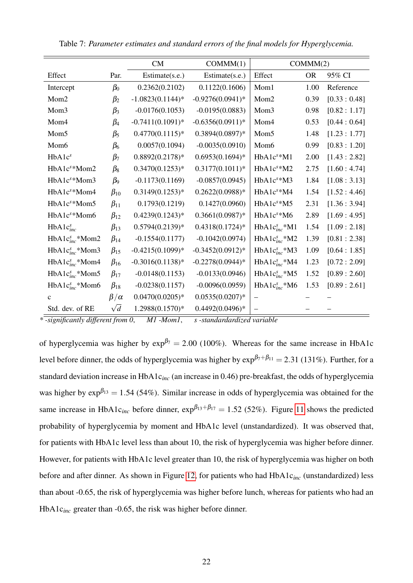|                          |                | CM                  | COMMM(1)           | COMMM(2)               |           |             |
|--------------------------|----------------|---------------------|--------------------|------------------------|-----------|-------------|
| Effect                   | Par.           | Estimate(s.e.)      | Estimate(s.e.)     | Effect                 | <b>OR</b> | 95% CI      |
| Intercept                | $\beta_0$      | 0.2362(0.2102)      | 0.1122(0.1606)     | Mom1                   | 1.00      | Reference   |
| Mom <sub>2</sub>         | $\beta_2$      | $-1.0823(0.1144)$ * | $-0.9276(0.0941)*$ | Mom2                   | 0.39      | [0.33:0.48] |
| Mom <sub>3</sub>         | $\beta_3$      | $-0.0176(0.1053)$   | $-0.0195(0.0883)$  | Mom <sub>3</sub>       | 0.98      | [0.82:1.17] |
| Mom4                     | $\beta_4$      | $-0.7411(0.1091)$ * | $-0.6356(0.0911)*$ | Mom4                   | 0.53      | [0.44:0.64] |
| Mom <sub>5</sub>         | $\beta_5$      | $0.4770(0.1115)*$   | $0.3894(0.0897)*$  | Mom <sub>5</sub>       | 1.48      | [1.23:1.77] |
| Mom <sub>6</sub>         | $\beta_6$      | 0.0057(0.1094)      | $-0.0035(0.0910)$  | Mom <sub>6</sub>       | 0.99      | [0.83:1.20] |
| HbA1c <sup>s</sup>       | $\beta_7$      | $0.8892(0.2178)*$   | $0.6953(0.1694)*$  | HbA1c <sup>s</sup> *M1 | 2.00      | [1.43:2.82] |
| HbA1c <sup>s</sup> *Mom2 | $\beta_8$      | $0.3470(0.1253)*$   | $0.3177(0.1011)*$  | $HbA1cs*M2$            | 2.75      | [1.60:4.74] |
| HbA1c <sup>s</sup> *Mom3 | $\beta_9$      | $-0.1173(0.1169)$   | $-0.0857(0.0945)$  | $HbA1cs*M3$            | 1.84      | [1.08:3.13] |
| HbA1c <sup>s</sup> *Mom4 | $\beta_{10}$   | $0.3149(0.1253)*$   | $0.2622(0.0988)*$  | HbA1c <sup>s</sup> *M4 | 1.54      | [1.52:4.46] |
| HbA1c <sup>s</sup> *Mom5 | $\beta_{11}$   | 0.1793(0.1219)      | 0.1427(0.0960)     | $HbA1cs*M5$            | 2.31      | [1.36:3.94] |
| HbA1c <sup>s</sup> *Mom6 | $\beta_{12}$   | $0.4239(0.1243)*$   | $0.3661(0.0987)*$  | HbA1c <sup>s</sup> *M6 | 2.89      | [1.69:4.95] |
| $HbA1c_{inc}^s$          | $\beta_{13}$   | $0.5794(0.2139)*$   | $0.4318(0.1724)*$  | $HbA1c_{inc}^s*M1$     | 1.54      | [1.09:2.18] |
| $HbA1c_{inc}^s*Mom2$     | $\beta_{14}$   | $-0.1554(0.1177)$   | $-0.1042(0.0974)$  | $HbA1c_{inc}^s*M2$     | 1.39      | [0.81:2.38] |
| $HbA1c_{inc}^s*Mom3$     | $\beta_{15}$   | $-0.4215(0.1099)*$  | $-0.3452(0.0912)*$ | $HbA1c_{inc}^s*M3$     | 1.09      | [0.64:1.85] |
| $HbA1c_{inc}^s*Mom4$     | $\beta_{16}$   | $-0.3016(0.1138)$ * | $-0.2278(0.0944)*$ | $HbA1c_{inc}^s*M4$     | 1.23      | [0.72:2.09] |
| $HbA1c_{inc}^s*Mom5$     | $\beta_{17}$   | $-0.0148(0.1153)$   | $-0.0133(0.0946)$  | $HbA1c_{inc}^s*M5$     | 1.52      | [0.89:2.60] |
| $HbA1c_{inc}^s*Mom6$     | $\beta_{18}$   | $-0.0238(0.1157)$   | $-0.0096(0.0959)$  | $HbA1c_{inc}^s*M6$     | 1.53      | [0.89:2.61] |
| $\mathbf{c}$             | $\beta/\alpha$ | $0.0470(0.0205)*$   | $0.0535(0.0207)*$  |                        |           |             |
| Std. dev. of RE          | $\sqrt{d}$     | 1.2988(0.1570)*     | $0.4492(0.0496)*$  |                        |           |             |

Table 7: *Parameter estimates and standard errors of the final models for Hyperglycemia.*

*\* -significantly different from 0*, *M1 -Mom1*, *s -standardardized variable*

of hyperglycemia was higher by  $\exp^{\beta_7} = 2.00$  (100%). Whereas for the same increase in HbA1c level before dinner, the odds of hyperglycemia was higher by  $\exp^{\beta_7+\beta_{11}} = 2.31$  (131%). Further, for a standard deviation increase in HbA1c*inc* (an increase in 0.46) pre-breakfast, the odds of hyperglycemia was higher by  $\exp^{\beta_{13}} = 1.54$  (54%). Similar increase in odds of hyperglycemia was obtained for the same increase in HbA1c<sub>inc</sub> before dinner,  $\exp^{\beta_{13}+\beta_{17}} = 1.52$  (52%). Figure 11 shows the predicted probability of hyperglycemia by moment and HbA1c level (unstandardized). It was observed that, for patients with HbA1c level less than about 10, the risk of hyperglycemia was higher before dinner. However, for patients with HbA1c level greater than 10, the risk of hyperglycemia was higher on both before and after dinner. As shown in Figure 12, for patients who had HbA1c*inc* (unstandardized) less than about -0.65, the risk of hyperglycemia was higher before lunch, whereas for patients who had an HbA1c*inc* greater than -0.65, the risk was higher before dinner.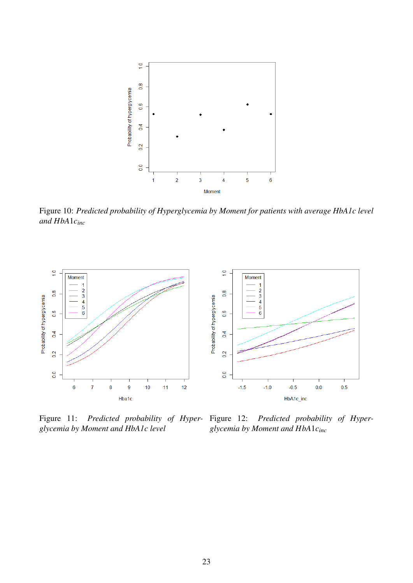

Figure 10: *Predicted probability of Hyperglycemia by Moment for patients with average HbA1c level and HbA*1*cinc*



Figure 11: *Predicted probability of Hyperglycemia by Moment and HbA1c level*

Predicted probability of Hyper*glycemia by Moment and HbA*1*cinc*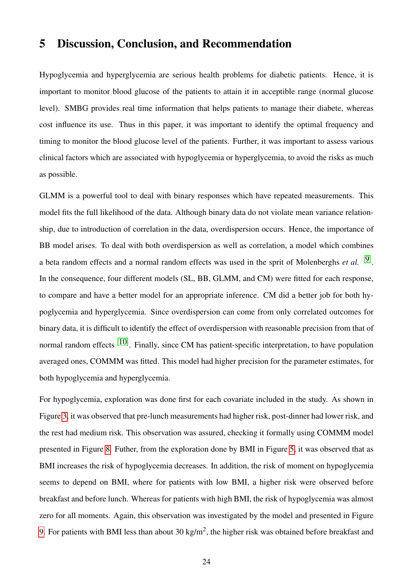# 5 Discussion, Conclusion, and Recommendation

Hypoglycemia and hyperglycemia are serious health problems for diabetic patients. Hence, it is important to monitor blood glucose of the patients to attain it in acceptible range (normal glucose level). SMBG provides real time information that helps patients to manage their diabete, whereas cost influence its use. Thus in this paper, it was important to identify the optimal frequency and timing to monitor the blood glucose level of the patients. Further, it was important to assess various clinical factors which are associated with hypoglycemia or hyperglycemia, to avoid the risks as much as possible.

GLMM is a powerful tool to deal with binary responses which have repeated measurements. This model fits the full likelihood of the data. Although binary data do not violate mean variance relationship, due to introduction of correlation in the data, overdispersion occurs. Hence, the importance of BB model arises. To deal with both overdispersion as well as correlation, a model which combines a beta random effects and a normal random effects was used in the sprit of Molenberghs *et al.* [9]. In the consequence, four different models (SL, BB, GLMM, and CM) were fitted for each response, to compare and have a better model for an appropriate inference. CM did a better job for both hypoglycemia and hyperglycemia. Since overdispersion can come from only correlated outcomes for binary data, it is difficult to identify the effect of overdispersion with reasonable precision from that of normal random effects  $[10]$ . Finally, since CM has patient-specific interpretation, to have population averaged ones, COMMM was fitted. This model had higher precision for the parameter estimates, for both hypoglycemia and hyperglycemia.

For hypoglycemia, exploration was done first for each covariate included in the study. As shown in Figure 3, it was observed that pre-lunch measurements had higher risk, post-dinner had lower risk, and the rest had medium risk. This observation was assured, checking it formally using COMMM model presented in Figure 8. Futher, from the exploration done by BMI in Figure 5, it was observed that as BMI increases the risk of hypoglycemia decreases. In addition, the risk of moment on hypoglycemia seems to depend on BMI, where for patients with low BMI, a higher risk were observed before breakfast and before lunch. Whereas for patients with high BMI, the risk of hypoglycemia was almost zero for all moments. Again, this observation was investigated by the model and presented in Figure 9. For patients with BMI less than about 30 kg/m<sup>2</sup>, the higher risk was obtained before breakfast and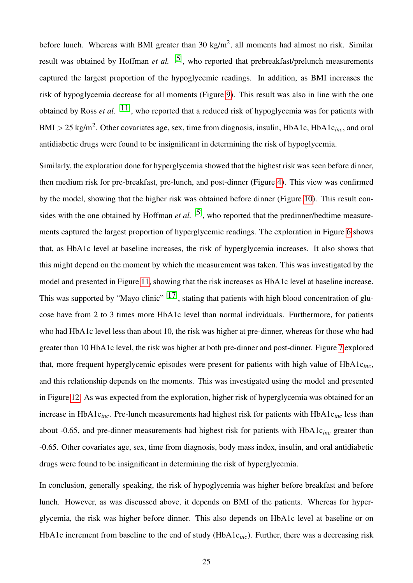before lunch. Whereas with BMI greater than 30 kg/m<sup>2</sup>, all moments had almost no risk. Similar result was obtained by Hoffman *et al.* <sup>[5]</sup>, who reported that prebreakfast/prelunch measurements captured the largest proportion of the hypoglycemic readings. In addition, as BMI increases the risk of hypoglycemia decrease for all moments (Figure 9). This result was also in line with the one obtained by Ross *et al.* <sup>[11]</sup>, who reported that a reduced risk of hypoglycemia was for patients with  $BMI > 25 \text{ kg/m}^2$ . Other covariates age, sex, time from diagnosis, insulin, HbA1c, HbA1c<sub>inc</sub>, and oral antidiabetic drugs were found to be insignificant in determining the risk of hypoglycemia.

Similarly, the exploration done for hyperglycemia showed that the highest risk was seen before dinner, then medium risk for pre-breakfast, pre-lunch, and post-dinner (Figure 4). This view was confirmed by the model, showing that the higher risk was obtained before dinner (Figure 10). This result consides with the one obtained by Hoffman *et al.* <sup>[5]</sup>, who reported that the predinner/bedtime measurements captured the largest proportion of hyperglycemic readings. The exploration in Figure 6 shows that, as HbA1c level at baseline increases, the risk of hyperglycemia increases. It also shows that this might depend on the moment by which the measurement was taken. This was investigated by the model and presented in Figure 11, showing that the risk increases as HbA1c level at baseline increase. This was supported by "Mayo clinic"  $[17]$ , stating that patients with high blood concentration of glucose have from 2 to 3 times more HbA1c level than normal individuals. Furthermore, for patients who had HbA1c level less than about 10, the risk was higher at pre-dinner, whereas for those who had greater than 10 HbA1c level, the risk was higher at both pre-dinner and post-dinner. Figure 7 explored that, more frequent hyperglycemic episodes were present for patients with high value of HbA1c*inc*, and this relationship depends on the moments. This was investigated using the model and presented in Figure 12. As was expected from the exploration, higher risk of hyperglycemia was obtained for an increase in HbA1c*inc*. Pre-lunch measurements had highest risk for patients with HbA1c*inc* less than about -0.65, and pre-dinner measurements had highest risk for patients with HbA1c*inc* greater than -0.65. Other covariates age, sex, time from diagnosis, body mass index, insulin, and oral antidiabetic drugs were found to be insignificant in determining the risk of hyperglycemia.

In conclusion, generally speaking, the risk of hypoglycemia was higher before breakfast and before lunch. However, as was discussed above, it depends on BMI of the patients. Whereas for hyperglycemia, the risk was higher before dinner. This also depends on HbA1c level at baseline or on HbA1c increment from baseline to the end of study (HbA1c*inc*). Further, there was a decreasing risk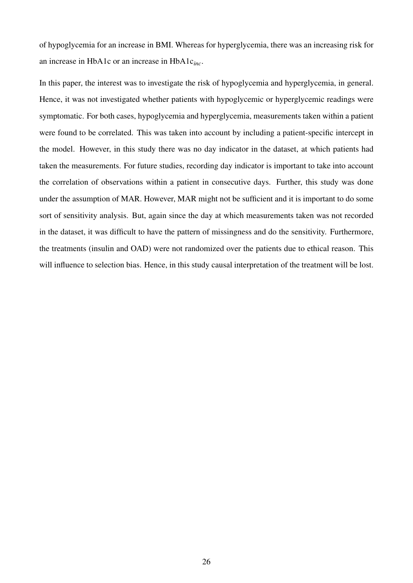of hypoglycemia for an increase in BMI. Whereas for hyperglycemia, there was an increasing risk for an increase in HbA1c or an increase in HbA1c*inc*.

In this paper, the interest was to investigate the risk of hypoglycemia and hyperglycemia, in general. Hence, it was not investigated whether patients with hypoglycemic or hyperglycemic readings were symptomatic. For both cases, hypoglycemia and hyperglycemia, measurements taken within a patient were found to be correlated. This was taken into account by including a patient-specific intercept in the model. However, in this study there was no day indicator in the dataset, at which patients had taken the measurements. For future studies, recording day indicator is important to take into account the correlation of observations within a patient in consecutive days. Further, this study was done under the assumption of MAR. However, MAR might not be sufficient and it is important to do some sort of sensitivity analysis. But, again since the day at which measurements taken was not recorded in the dataset, it was difficult to have the pattern of missingness and do the sensitivity. Furthermore, the treatments (insulin and OAD) were not randomized over the patients due to ethical reason. This will influence to selection bias. Hence, in this study causal interpretation of the treatment will be lost.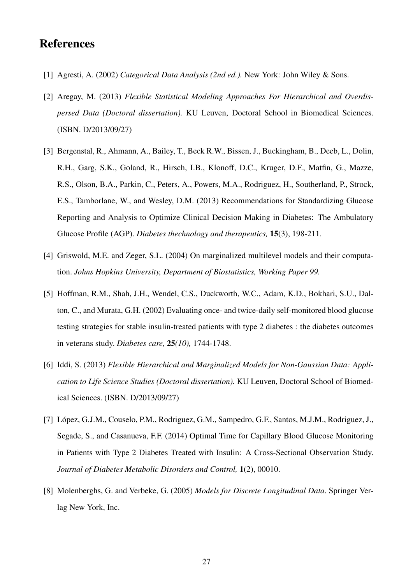# **References**

- [1] Agresti, A. (2002) *Categorical Data Analysis (2nd ed.).* New York: John Wiley & Sons.
- [2] Aregay, M. (2013) *Flexible Statistical Modeling Approaches For Hierarchical and Overdispersed Data (Doctoral dissertation).* KU Leuven, Doctoral School in Biomedical Sciences. (ISBN. D/2013/09/27)
- [3] Bergenstal, R., Ahmann, A., Bailey, T., Beck R.W., Bissen, J., Buckingham, B., Deeb, L., Dolin, R.H., Garg, S.K., Goland, R., Hirsch, I.B., Klonoff, D.C., Kruger, D.F., Matfin, G., Mazze, R.S., Olson, B.A., Parkin, C., Peters, A., Powers, M.A., Rodriguez, H., Southerland, P., Strock, E.S., Tamborlane, W., and Wesley, D.M. (2013) Recommendations for Standardizing Glucose Reporting and Analysis to Optimize Clinical Decision Making in Diabetes: The Ambulatory Glucose Profile (AGP). *Diabetes thechnology and therapeutics,* 15(3), 198-211.
- [4] Griswold, M.E. and Zeger, S.L. (2004) On marginalized multilevel models and their computation. *Johns Hopkins University, Department of Biostatistics, Working Paper 99.*
- [5] Hoffman, R.M., Shah, J.H., Wendel, C.S., Duckworth, W.C., Adam, K.D., Bokhari, S.U., Dalton, C., and Murata, G.H. (2002) Evaluating once- and twice-daily self-monitored blood glucose testing strategies for stable insulin-treated patients with type 2 diabetes : the diabetes outcomes in veterans study. *Diabetes care,* 25*(10),* 1744-1748.
- [6] Iddi, S. (2013) *Flexible Hierarchical and Marginalized Models for Non-Gaussian Data: Application to Life Science Studies (Doctoral dissertation).* KU Leuven, Doctoral School of Biomedical Sciences. (ISBN. D/2013/09/27)
- [7] Lopez, G.J.M., Couselo, P.M., Rodriguez, G.M., Sampedro, G.F., Santos, M.J.M., Rodriguez, J., ´ Segade, S., and Casanueva, F.F. (2014) Optimal Time for Capillary Blood Glucose Monitoring in Patients with Type 2 Diabetes Treated with Insulin: A Cross-Sectional Observation Study. *Journal of Diabetes Metabolic Disorders and Control,* 1(2), 00010.
- [8] Molenberghs, G. and Verbeke, G. (2005) *Models for Discrete Longitudinal Data*. Springer Verlag New York, Inc.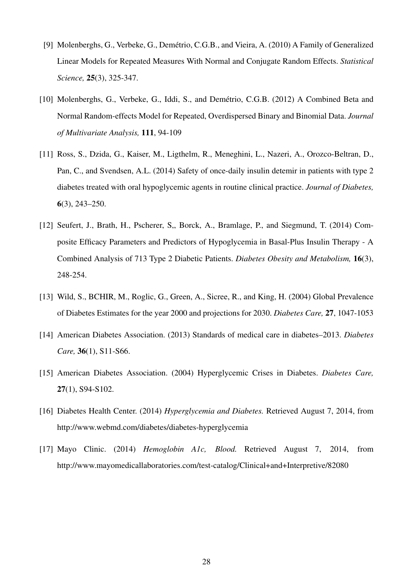- [9] Molenberghs, G., Verbeke, G., Demétrio, C.G.B., and Vieira, A. (2010) A Family of Generalized Linear Models for Repeated Measures With Normal and Conjugate Random Effects. *Statistical Science,* 25(3), 325-347.
- [10] Molenberghs, G., Verbeke, G., Iddi, S., and Demétrio, C.G.B. (2012) A Combined Beta and Normal Random-effects Model for Repeated, Overdispersed Binary and Binomial Data. *Journal of Multivariate Analysis,* 111, 94-109
- [11] Ross, S., Dzida, G., Kaiser, M., Ligthelm, R., Meneghini, L., Nazeri, A., Orozco-Beltran, D., Pan, C., and Svendsen, A.L. (2014) Safety of once-daily insulin detemir in patients with type 2 diabetes treated with oral hypoglycemic agents in routine clinical practice. *Journal of Diabetes,* 6(3), 243–250.
- [12] Seufert, J., Brath, H., Pscherer, S., Borck, A., Bramlage, P., and Siegmund, T. (2014) Composite Efficacy Parameters and Predictors of Hypoglycemia in Basal-Plus Insulin Therapy - A Combined Analysis of 713 Type 2 Diabetic Patients. *Diabetes Obesity and Metabolism,* 16(3), 248-254.
- [13] Wild, S., BCHIR, M., Roglic, G., Green, A., Sicree, R., and King, H. (2004) Global Prevalence of Diabetes Estimates for the year 2000 and projections for 2030. *Diabetes Care,* 27, 1047-1053
- [14] American Diabetes Association. (2013) Standards of medical care in diabetes–2013. *Diabetes Care,* 36(1), S11-S66.
- [15] American Diabetes Association. (2004) Hyperglycemic Crises in Diabetes. *Diabetes Care,* 27(1), S94-S102.
- [16] Diabetes Health Center. (2014) *Hyperglycemia and Diabetes.* Retrieved August 7, 2014, from http://www.webmd.com/diabetes/diabetes-hyperglycemia
- [17] Mayo Clinic. (2014) *Hemoglobin A1c, Blood.* Retrieved August 7, 2014, from http://www.mayomedicallaboratories.com/test-catalog/Clinical+and+Interpretive/82080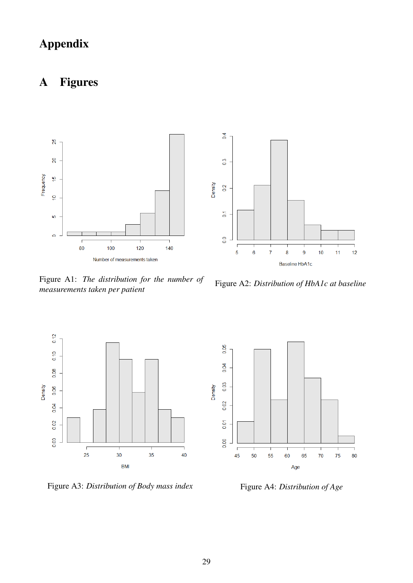# Appendix

# A Figures



Figure A1: *The distribution for the number of measurements taken per patient*

Figure A2: *Distribution of HbA1c at baseline*



Figure A3: *Distribution of Body mass index* Figure A4: *Distribution of Age* 

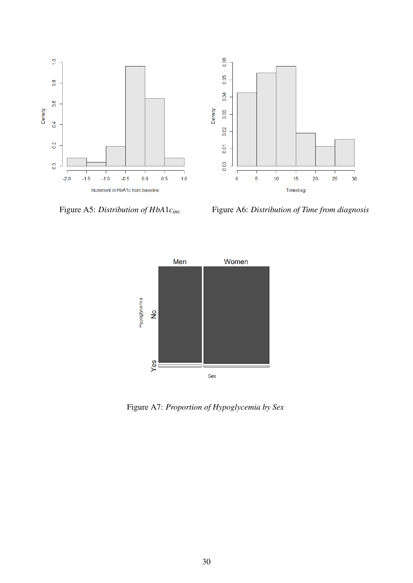

Figure A5: *Distribution of HbA*1*c*<sub>*inc*</sub> Figure A6: *Distribution of Time from diagnosis* 



Figure A7: *Proportion of Hypoglycemia by Sex*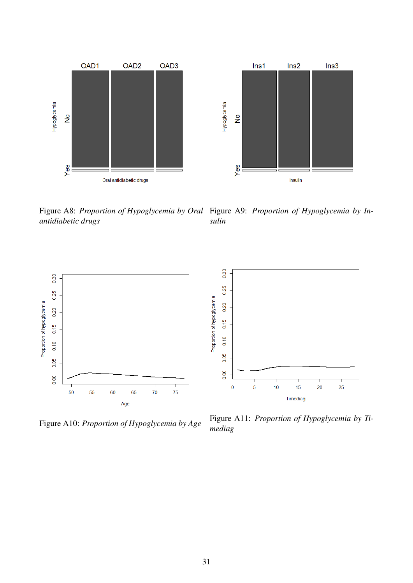

Figure A8: *Proportion of Hypoglycemia by Oral* Figure A9: *Proportion of Hypoglycemia by Inantidiabetic drugs sulin*



Figure A10: *Proportion of Hypoglycemia by Age* Figure A11: *Proportion of Hypoglycemia by Timediag*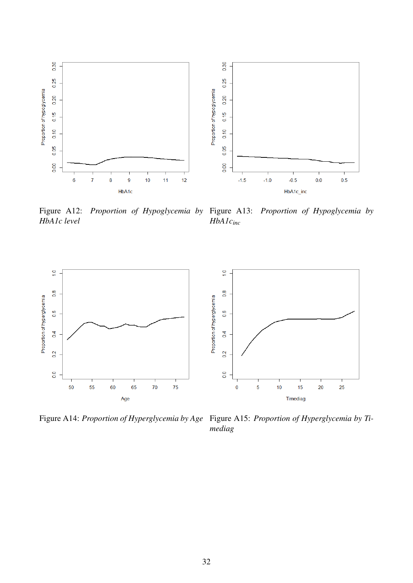

Figure A12: *Proportion of Hypoglycemia by* Figure A13: *Proportion of Hypoglycemia by HbA1c level HbA1cinc*



Figure A14: *Proportion of Hyperglycemia by Age* Figure A15: *Proportion of Hyperglycemia by Ti-*

*mediag*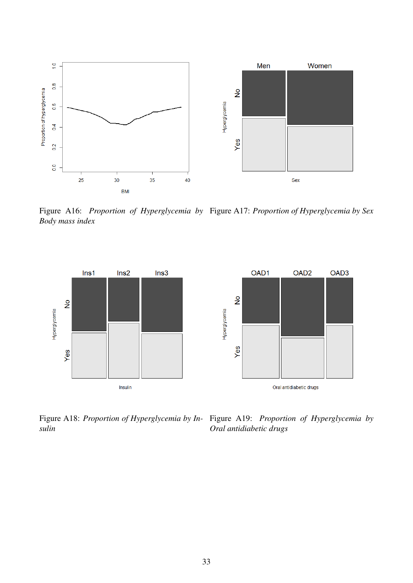

Figure A16: *Proportion of Hyperglycemia by* Figure A17: *Proportion of Hyperglycemia by Sex Body mass index*



Figure A18: *Proportion of Hyperglycemia by In-*Figure A19: *Proportion of Hyperglycemia by sulin Oral antidiabetic drugs*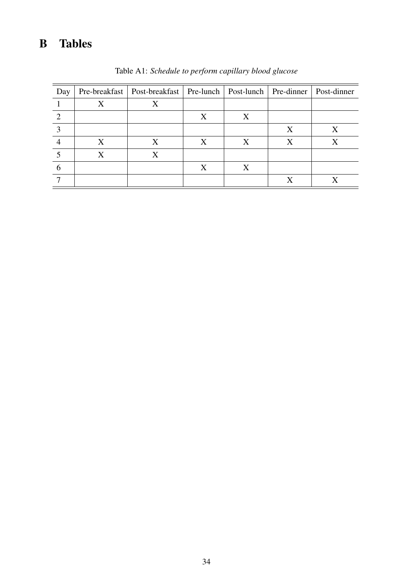# B Tables

| Day |   | Pre-breakfast   Post-breakfast   Pre-lunch   Post-lunch   Pre-dinner   Post-dinner |   |   |   |   |
|-----|---|------------------------------------------------------------------------------------|---|---|---|---|
|     |   | X                                                                                  |   |   |   |   |
|     |   |                                                                                    | X | X |   |   |
|     |   |                                                                                    |   |   | X | X |
|     | X | X                                                                                  | X | X | X |   |
|     | X | X                                                                                  |   |   |   |   |
| 6   |   |                                                                                    | X | X |   |   |
|     |   |                                                                                    |   |   |   |   |

Table A1: *Schedule to perform capillary blood glucose*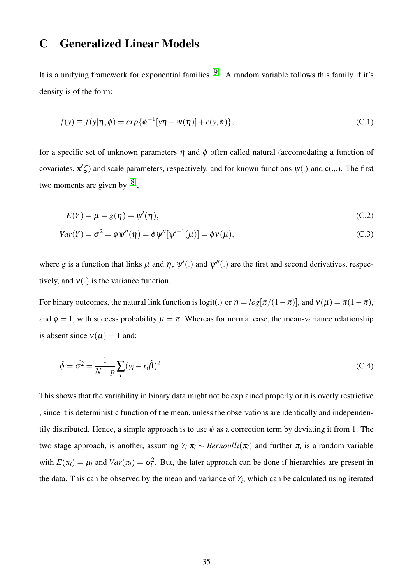## C Generalized Linear Models

It is a unifying framework for exponential families  $[9]$ . A random variable follows this family if it's density is of the form:

$$
f(y) \equiv f(y|\eta, \phi) = exp{\lbrace \phi^{-1}[y\eta - \psi(\eta)] + c(y, \phi) \rbrace},
$$
 (C.1)

for a specific set of unknown parameters  $\eta$  and  $\phi$  often called natural (accomodating a function of covariates,  $\mathbf{x}'\zeta$ ) and scale parameters, respectively, and for known functions  $\psi(.)$  and  $c(.,.)$ . The first two moments are given by  $[8]$ ,

$$
E(Y) = \mu = g(\eta) = \psi'(\eta), \tag{C.2}
$$

$$
Var(Y) = \sigma^2 = \phi \psi''(\eta) = \phi \psi''[\psi'^{-1}(\mu)] = \phi \nu(\mu),
$$
\n(C.3)

where g is a function that links  $\mu$  and  $\eta$ ,  $\psi'$ .) and  $\psi''$ .) are the first and second derivatives, respectively, and  $v(.)$  is the variance function.

For binary outcomes, the natural link function is logit(.) or  $\eta = log[\pi/(1-\pi)]$ , and  $v(\mu) = \pi(1-\pi)$ , and  $\phi = 1$ , with success probability  $\mu = \pi$ . Whereas for normal case, the mean-variance relationship is absent since  $v(\mu) = 1$  and:

$$
\hat{\phi} = \hat{\sigma}^2 = \frac{1}{N - p} \sum_{i} (y_i - x_i \hat{\beta})^2
$$
\n(C.4)

This shows that the variability in binary data might not be explained properly or it is overly restrictive , since it is deterministic function of the mean, unless the observations are identically and independentily distributed. Hence, a simple approach is to use  $\phi$  as a correction term by deviating it from 1. The two stage approach, is another, assuming  $Y_i | \pi_i \sim Bernoulli(\pi_i)$  and further  $\pi_i$  is a random variable with  $E(\pi_i) = \mu_i$  and  $Var(\pi_i) = \sigma_i^2$ . But, the later approach can be done if hierarchies are present in the data. This can be observed by the mean and variance of  $Y_i$ , which can be calculated using iterated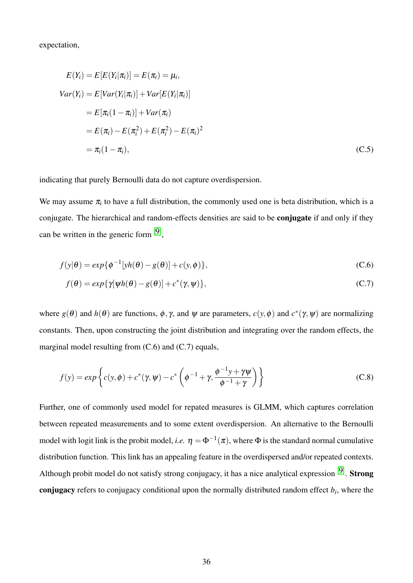expectation,

$$
E(Y_i) = E[E(Y_i|\pi_i)] = E(\pi_i) = \mu_i,
$$
  
\n
$$
Var(Y_i) = E[Var(Y_i|\pi_i)] + Var[E(Y_i|\pi_i)]
$$
  
\n
$$
= E[\pi_i(1 - \pi_i)] + Var(\pi_i)
$$
  
\n
$$
= E(\pi_i) - E(\pi_i^2) + E(\pi_i^2) - E(\pi_i)^2
$$
  
\n
$$
= \pi_i(1 - \pi_i),
$$
\n(C.5)

indicating that purely Bernoulli data do not capture overdispersion.

We may assume  $\pi$ <sub>*i*</sub> to have a full distribution, the commonly used one is beta distribution, which is a conjugate. The hierarchical and random-effects densities are said to be conjugate if and only if they can be written in the generic form  $[9]$ ,

$$
f(y|\theta) = exp{\lbrace \phi^{-1}[yh(\theta) - g(\theta)] + c(y, \phi) \rbrace},
$$
\n(C.6)

$$
f(\theta) = exp{\gamma[\psi h(\theta) - g(\theta)] + c^*(\gamma, \psi)},
$$
\n(C.7)

where  $g(\theta)$  and  $h(\theta)$  are functions,  $\phi$ ,  $\gamma$ , and  $\psi$  are parameters,  $c(y, \phi)$  and  $c^*(\gamma, \psi)$  are normalizing constants. Then, upon constructing the joint distribution and integrating over the random effects, the marginal model resulting from (C.6) and (C.7) equals,

$$
f(y) = exp\left\{c(y, \phi) + c^*(\gamma, \psi) - c^*\left(\phi^{-1} + \gamma, \frac{\phi^{-1}y + \gamma\psi}{\phi^{-1} + \gamma}\right)\right\}
$$
(C.8)

Further, one of commonly used model for repated measures is GLMM, which captures correlation between repeated measurements and to some extent overdispersion. An alternative to the Bernoulli model with logit link is the probit model, *i.e.*  $\eta = \Phi^{-1}(\pi)$ , where  $\Phi$  is the standard normal cumulative distribution function. This link has an appealing feature in the overdispersed and/or repeated contexts. Although probit model do not satisfy strong conjugacy, it has a nice analytical expression  $[9]$ . Strong conjugacy refers to conjugacy conditional upon the normally distributed random effect *b<sup>i</sup>* , where the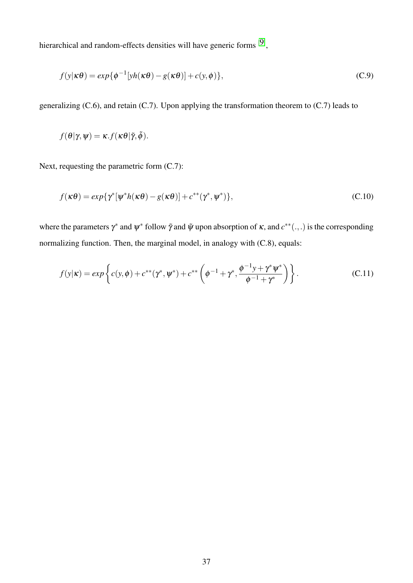hierarchical and random-effects densities will have generic forms  $[9]$ ,

$$
f(y|\kappa\theta) = exp{\lbrace \phi^{-1}[yh(\kappa\theta) - g(\kappa\theta)] + c(y, \phi) \rbrace},
$$
\n(C.9)

generalizing (C.6), and retain (C.7). Upon applying the transformation theorem to (C.7) leads to

$$
f(\theta|\gamma,\psi)=\kappa.f(\kappa\theta|\tilde{\gamma},\tilde{\phi}).
$$

Next, requesting the parametric form  $(C.7)$ :

$$
f(\kappa \theta) = exp{\gamma^* [\psi^* h(\kappa \theta) - g(\kappa \theta)]} + c^{**}(\gamma^*, \psi^*)},
$$
\n(C.10)

where the parameters  $\gamma^*$  and  $\psi^*$  follow  $\tilde{\gamma}$  and  $\tilde{\psi}$  upon absorption of  $\kappa$ , and  $c^{**}(.,.)$  is the corresponding normalizing function. Then, the marginal model, in analogy with (C.8), equals:

$$
f(y|\kappa) = exp\left\{c(y,\phi) + c^{**}(\gamma^*,\psi^*) + c^{**}\left(\phi^{-1} + \gamma^*,\frac{\phi^{-1}y + \gamma^*\psi^*}{\phi^{-1} + \gamma^*}\right)\right\}.
$$
 (C.11)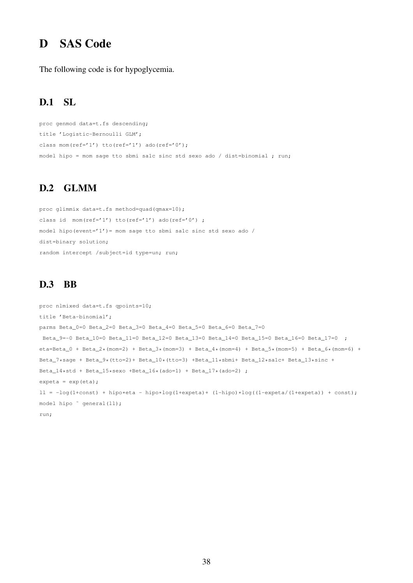# D SAS Code

The following code is for hypoglycemia.

#### D.1 SL

```
proc genmod data=t.fs descending;
title 'Logistic-Bernoulli GLM';
class mom(ref='1') tto(ref='1') ado(ref='0');
model hipo = mom sage tto sbmi sa1c sinc std sexo ado / dist=binomial ; run;
```
#### D.2 GLMM

proc glimmix data=t.fs method=quad(qmax=10); class id mom(ref='1') tto(ref='1') ado(ref='0') ; model hipo(event='1')= mom sage tto sbmi salc sinc std sexo ado / dist=binary solution; random intercept /subject=id type=un; run;

#### D.3 BB

```
proc nlmixed data=t.fs qpoints=10;
title 'Beta-binomial';
parms Beta_0=0 Beta_2=0 Beta_3=0 Beta_4=0 Beta_5=0 Beta_6=0 Beta_7=0
Beta 9=-0 Beta 10=0 Beta 11=0 Beta 12=0 Beta 13=0 Beta 14=0 Beta 15=0 Beta 16=0 Beta 17=0 ;
eta=Beta_0 + Beta_2*(mom=2) + Beta_3*(mom=3) + Beta_4*(mom=4) + Beta_5*(mom=5) + Beta_6*(mom=6) + \frac{1}{2}Beta_7*sage + Beta_9*(tto=2)+ Beta_10*(tto=3) +Beta_11*sbmi+ Beta_12*sa1c+ Beta_13*sinc +
Beta_14*std + Beta_15*sexo +Beta_16*(ado=1) + Beta_17*(ado=2) ;
expeta = exp(eta);
11 = -log(1+const) + hipo * eta - hipo * log(1+expect) + (1-hipo) * log((1-expetz/(1+expect)) + const);model hipo ~ general(ll);
run;
```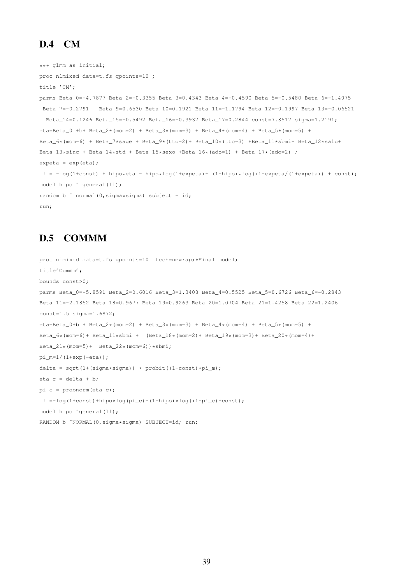#### D.4 CM

```
*** glmm as initial;
proc nlmixed data=t.fs qpoints=10 ;
title 'CM';
parms Beta_0=-4.7877 Beta_2=-0.3355 Beta_3=0.4343 Beta_4=-0.4590 Beta_5=-0.5480 Beta_6=-1.4075
Beta_7=-0.2791 Beta_9=0.6530 Beta_10=0.1921 Beta_11=-1.1794 Beta_12=-0.1997 Beta_13=-0.06521
 Beta_14=0.1246 Beta_15=-0.5492 Beta_16=-0.3937 Beta_17=0.2844 const=7.8517 sigma=1.2191;
eta=Beta_0 +b+ Beta_2*(mom=2) + Beta_3*(mom=3) + Beta_4*(mom=4) + Beta_5*(mom=5) +
Beta_6*(mom=6) + Beta_7*sage + Beta_9*(tto=2)+ Beta_10*(tto=3) +Beta_11*sbmi+ Beta_12*sa1c+
Beta_13*sinc + Beta_14*std + Beta_15*sexo +Beta_16*(ado=1) + Beta_17*(ado=2) ;
expeta = exp(eta);ll = -log(1+const) + hipo*eta - hipo*log(1+expeta)+ (1-hipo)*log((1-expeta/(1+expeta)) + const);
model hipo \degree general(ll);
random b \degree normal(0, sigma*sigma) subject = id;
run;
```
#### D.5 COMMM

```
proc nlmixed data=t.fs qpoints=10 tech=newrap;*Final model;
title'Commm';
bounds const>0;
parms Beta_0=-5.8591 Beta_2=0.6016 Beta_3=1.3408 Beta_4=0.5525 Beta_5=0.6726 Beta_6=-0.2843
Beta_11=-2.1852 Beta_18=0.9677 Beta_19=0.9263 Beta_20=1.0704 Beta_21=1.4258 Beta_22=1.2406
const=1.5 sigma=1.6872;
eta=Beta_0+b + Beta_2*(mom=2) + Beta_3*(mom=3) + Beta_4*(mom=4) + Beta_5*(mom=5) +
Beta_6* (mom=6) + Beta_11*sbmi + (Beta_18* (mom=2) + Beta_19* (mom=3) + Beta_20* (mom=4) +Beta_21*(mom=5)+ Beta_22*(mom=6))*sbmi;
pi_m=1/(1+exp(-eta));
delta = sqrt(1+(sigma*sigma)) * probit((1+const)*pi_m);
eta_c = delta + b;pi_c = probnorm(eta_c);
ll =-\log(1+\text{const})+\text{hipo}*\text{log}(pi_c)+(1-\text{hipo})*\log((1-pi_c)+\text{const});model hipo ˜general(ll);
RANDOM b ~NORMAL(0,sigma*sigma) SUBJECT=id; run;
```